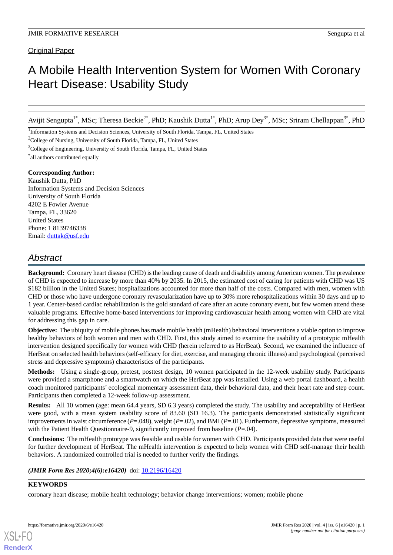# Original Paper

# A Mobile Health Intervention System for Women With Coronary Heart Disease: Usability Study

Avijit Sengupta<sup>1\*</sup>, MSc; Theresa Beckie<sup>2\*</sup>, PhD; Kaushik Dutta<sup>1\*</sup>, PhD; Arup Dey<sup>3\*</sup>, MSc; Sriram Chellappan<sup>3\*</sup>, PhD

<sup>1</sup>Information Systems and Decision Sciences, University of South Florida, Tampa, FL, United States

<sup>2</sup>College of Nursing, University of South Florida, Tampa, FL, United States

<sup>3</sup>College of Engineering, University of South Florida, Tampa, FL, United States

\* all authors contributed equally

### **Corresponding Author:**

Kaushik Dutta, PhD Information Systems and Decision Sciences University of South Florida 4202 E Fowler Avenue Tampa, FL, 33620 United States Phone: 1 8139746338 Email: [duttak@usf.edu](mailto:duttak@usf.edu)

# *Abstract*

**Background:** Coronary heart disease (CHD) is the leading cause of death and disability among American women. The prevalence of CHD is expected to increase by more than 40% by 2035. In 2015, the estimated cost of caring for patients with CHD was US \$182 billion in the United States; hospitalizations accounted for more than half of the costs. Compared with men, women with CHD or those who have undergone coronary revascularization have up to 30% more rehospitalizations within 30 days and up to 1 year. Center-based cardiac rehabilitation is the gold standard of care after an acute coronary event, but few women attend these valuable programs. Effective home-based interventions for improving cardiovascular health among women with CHD are vital for addressing this gap in care.

**Objective:** The ubiquity of mobile phones has made mobile health (mHealth) behavioral interventions a viable option to improve healthy behaviors of both women and men with CHD. First, this study aimed to examine the usability of a prototypic mHealth intervention designed specifically for women with CHD (herein referred to as HerBeat). Second, we examined the influence of HerBeat on selected health behaviors (self-efficacy for diet, exercise, and managing chronic illness) and psychological (perceived stress and depressive symptoms) characteristics of the participants.

**Methods:** Using a single-group, pretest, posttest design, 10 women participated in the 12-week usability study. Participants were provided a smartphone and a smartwatch on which the HerBeat app was installed. Using a web portal dashboard, a health coach monitored participants' ecological momentary assessment data, their behavioral data, and their heart rate and step count. Participants then completed a 12-week follow-up assessment.

**Results:** All 10 women (age: mean 64.4 years, SD 6.3 years) completed the study. The usability and acceptability of HerBeat were good, with a mean system usability score of 83.60 (SD 16.3). The participants demonstrated statistically significant improvements in waist circumference (*P*=.048), weight (*P*=.02), and BMI (*P*=.01). Furthermore, depressive symptoms, measured with the Patient Health Questionnaire-9, significantly improved from baseline (*P*=.04).

**Conclusions:** The mHealth prototype was feasible and usable for women with CHD. Participants provided data that were useful for further development of HerBeat. The mHealth intervention is expected to help women with CHD self-manage their health behaviors. A randomized controlled trial is needed to further verify the findings.

(JMIR Form Res 2020;4(6):e16420) doi: [10.2196/16420](http://dx.doi.org/10.2196/16420)

# **KEYWORDS**

coronary heart disease; mobile health technology; behavior change interventions; women; mobile phone

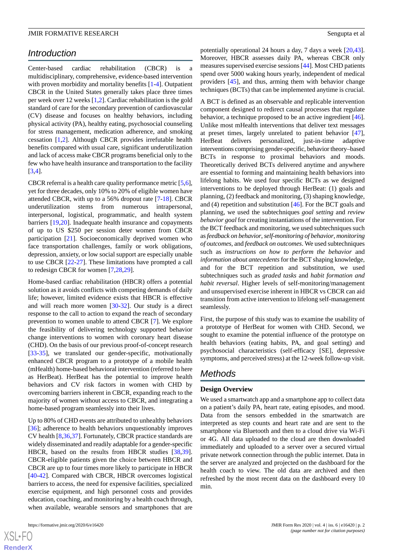# *Introduction*

Center-based cardiac rehabilitation (CBCR) is a multidisciplinary, comprehensive, evidence-based intervention with proven morbidity and mortality benefits  $[1-4]$  $[1-4]$  $[1-4]$  $[1-4]$ . Outpatient CBCR in the United States generally takes place three times per week over 12 weeks [\[1](#page-12-0),[2\]](#page-12-2). Cardiac rehabilitation is the gold standard of care for the secondary prevention of cardiovascular (CV) disease and focuses on healthy behaviors, including physical activity (PA), healthy eating, psychosocial counseling for stress management, medication adherence, and smoking cessation [[1](#page-12-0)[,2](#page-12-2)]. Although CBCR provides irrefutable health benefits compared with usual care, significant underutilization and lack of access make CBCR programs beneficial only to the few who have health insurance and transportation to the facility [[3](#page-12-3)[,4](#page-12-1)].

CBCR referral is a health care quality performance metric [[5](#page-12-4),[6\]](#page-12-5), yet for three decades, only 10% to 20% of eligible women have attended CBCR, with up to a 56% dropout rate [\[7](#page-12-6)[-18](#page-13-0)]. CBCR underutilization stems from numerous intrapersonal, interpersonal, logistical, programmatic, and health system barriers [\[19](#page-13-1),[20\]](#page-13-2). Inadequate health insurance and copayments of up to US \$250 per session deter women from CBCR participation [[21\]](#page-13-3). Socioeconomically deprived women who face transportation challenges, family or work obligations, depression, anxiety, or low social support are especially unable to use CBCR [\[22](#page-13-4)-[27\]](#page-13-5). These limitations have prompted a call to redesign CBCR for women [[7,](#page-12-6)[28](#page-14-0),[29\]](#page-14-1).

Home-based cardiac rehabilitation (HBCR) offers a potential solution as it avoids conflicts with competing demands of daily life; however, limited evidence exists that HBCR is effective and will reach more women [\[30](#page-14-2)-[32\]](#page-14-3). Our study is a direct response to the call to action to expand the reach of secondary prevention to women unable to attend CBCR [[7\]](#page-12-6). We explore the feasibility of delivering technology supported behavior change interventions to women with coronary heart disease (CHD). On the basis of our previous proof-of-concept research [[33](#page-14-4)[-35](#page-14-5)], we translated our gender-specific, motivationally enhanced CBCR program to a prototype of a mobile health (mHealth) home-based behavioral intervention (referred to here as HerBeat). HerBeat has the potential to improve health behaviors and CV risk factors in women with CHD by overcoming barriers inherent in CBCR, expanding reach to the majority of women without access to CBCR, and integrating a home-based program seamlessly into their lives.

Up to 80% of CHD events are attributed to unhealthy behaviors [[36\]](#page-14-6); adherence to health behaviors unquestionably improves CV health [[8,](#page-12-7)[36](#page-14-6),[37\]](#page-14-7). Fortunately, CBCR practice standards are widely disseminated and readily adaptable for a gender-specific HBCR, based on the results from HBCR studies [\[38](#page-14-8),[39\]](#page-14-9). CBCR-eligible patients given the choice between HBCR and CBCR are up to four times more likely to participate in HBCR [[40](#page-14-10)[-42](#page-14-11)]. Compared with CBCR, HBCR overcomes logistical barriers to access, the need for expensive facilities, specialized exercise equipment, and high personnel costs and provides education, coaching, and monitoring by a health coach through, when available, wearable sensors and smartphones that are

potentially operational 24 hours a day, 7 days a week [\[20](#page-13-2),[43\]](#page-14-12). Moreover, HBCR assesses daily PA, whereas CBCR only measures supervised exercise sessions [[44\]](#page-14-13). Most CHD patients spend over 5000 waking hours yearly, independent of medical providers [\[45](#page-14-14)], and thus, arming them with behavior change techniques (BCTs) that can be implemented anytime is crucial.

A BCT is defined as an observable and replicable intervention component designed to redirect causal processes that regulate behavior, a technique proposed to be an active ingredient [[46\]](#page-14-15). Unlike most mHealth interventions that deliver text messages at preset times, largely unrelated to patient behavior [[47\]](#page-15-0), HerBeat delivers personalized, just-in-time adaptive interventions comprising gender-specific, behavior theory–based BCTs in response to proximal behaviors and moods. Theoretically derived BCTs delivered anytime and anywhere are essential to forming and maintaining health behaviors into lifelong habits. We used four specific BCTs as we designed interventions to be deployed through HerBeat: (1) goals and planning, (2) feedback and monitoring, (3) shaping knowledge, and (4) repetition and substitution [\[46](#page-14-15)]. For the BCT goals and planning, we used the subtechniques *goal setting* and *review behavior goal* for creating instantiations of the intervention. For the BCT feedback and monitoring, we used subtechniques such as *feedback on behavior*, *self-monitoring of behavior*, *monitoring of outcomes*, and *feedback on outcomes*. We used subtechniques such as *instructions on how to perform the behavior* and *information about antecedents*for the BCT shaping knowledge, and for the BCT repetition and substitution, we used subtechniques such as *graded tasks* and *habit formation and habit reversal*. Higher levels of self-monitoring/management and unsupervised exercise inherent in HBCR vs CBCR can aid transition from active intervention to lifelong self-management seamlessly.

First, the purpose of this study was to examine the usability of a prototype of HerBeat for women with CHD. Second, we sought to examine the potential influence of the prototype on health behaviors (eating habits, PA, and goal setting) and psychosocial characteristics (self-efficacy [SE], depressive symptoms, and perceived stress) at the 12-week follow-up visit.

# *Methods*

### **Design Overview**

We used a smartwatch app and a smartphone app to collect data on a patient's daily PA, heart rate, eating episodes, and mood. Data from the sensors embedded in the smartwatch are interpreted as step counts and heart rate and are sent to the smartphone via Bluetooth and then to a cloud drive via Wi-Fi or 4G. All data uploaded to the cloud are then downloaded immediately and uploaded to a server over a secured virtual private network connection through the public internet. Data in the server are analyzed and projected on the dashboard for the health coach to view. The old data are archived and then refreshed by the most recent data on the dashboard every 10 min.

 $XSI - F($ **[RenderX](http://www.renderx.com/)**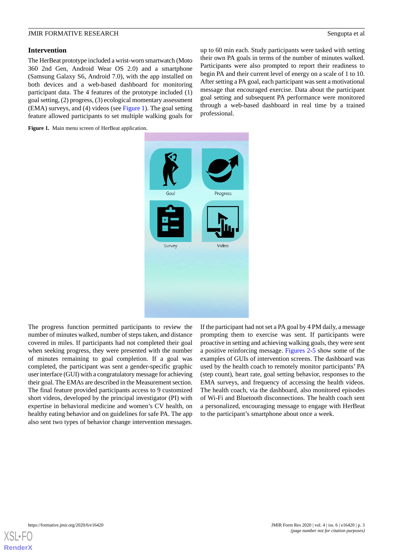### **Intervention**

The HerBeat prototype included a wrist-worn smartwatch (Moto 360 2nd Gen, Android Wear OS 2.0) and a smartphone (Samsung Galaxy S6, Android 7.0), with the app installed on both devices and a web-based dashboard for monitoring participant data. The 4 features of the prototype included (1) goal setting, (2) progress, (3) ecological momentary assessment (EMA) surveys, and (4) videos (see [Figure 1\)](#page-2-0). The goal setting feature allowed participants to set multiple walking goals for up to 60 min each. Study participants were tasked with setting their own PA goals in terms of the number of minutes walked. Participants were also prompted to report their readiness to begin PA and their current level of energy on a scale of 1 to 10. After setting a PA goal, each participant was sent a motivational message that encouraged exercise. Data about the participant goal setting and subsequent PA performance were monitored through a web-based dashboard in real time by a trained professional.

<span id="page-2-0"></span>Figure 1. Main menu screen of HerBeat application.



The progress function permitted participants to review the number of minutes walked, number of steps taken, and distance covered in miles. If participants had not completed their goal when seeking progress, they were presented with the number of minutes remaining to goal completion. If a goal was completed, the participant was sent a gender-specific graphic user interface (GUI) with a congratulatory message for achieving their goal. The EMAs are described in the Measurement section. The final feature provided participants access to 9 customized short videos, developed by the principal investigator (PI) with expertise in behavioral medicine and women's CV health, on healthy eating behavior and on guidelines for safe PA. The app also sent two types of behavior change intervention messages.

If the participant had not set a PA goal by 4 PM daily, a message prompting them to exercise was sent. If participants were proactive in setting and achieving walking goals, they were sent a positive reinforcing message. [Figures 2](#page-3-0)[-5](#page-4-0) show some of the examples of GUIs of intervention screens. The dashboard was used by the health coach to remotely monitor participants'PA (step count), heart rate, goal setting behavior, responses to the EMA surveys, and frequency of accessing the health videos. The health coach, via the dashboard, also monitored episodes of Wi-Fi and Bluetooth disconnections. The health coach sent a personalized, encouraging message to engage with HerBeat to the participant's smartphone about once a week.

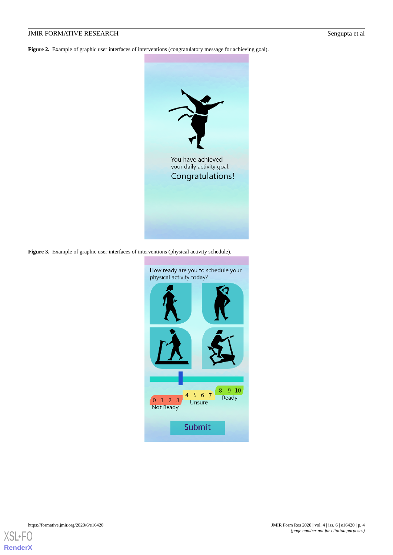<span id="page-3-0"></span>Figure 2. Example of graphic user interfaces of interventions (congratulatory message for achieving goal).



Figure 3. Example of graphic user interfaces of interventions (physical activity schedule).



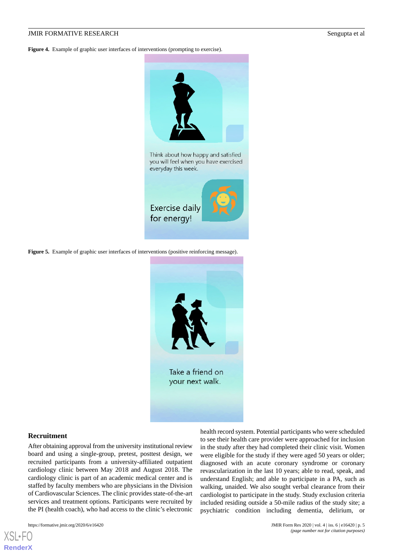**Figure 4.** Example of graphic user interfaces of interventions (prompting to exercise).



<span id="page-4-0"></span>**Figure 5.** Example of graphic user interfaces of interventions (positive reinforcing message).



your next walk.

### **Recruitment**

After obtaining approval from the university institutional review board and using a single-group, pretest, posttest design, we recruited participants from a university-affiliated outpatient cardiology clinic between May 2018 and August 2018. The cardiology clinic is part of an academic medical center and is staffed by faculty members who are physicians in the Division of Cardiovascular Sciences. The clinic provides state-of-the-art services and treatment options. Participants were recruited by the PI (health coach), who had access to the clinic's electronic

https://formative.jmir.org/2020/6/e16420 JMIR Form Res 2020 | vol. 4 | iss. 6 | e16420 | p. 5

health record system. Potential participants who were scheduled to see their health care provider were approached for inclusion in the study after they had completed their clinic visit. Women were eligible for the study if they were aged 50 years or older; diagnosed with an acute coronary syndrome or coronary revascularization in the last 10 years; able to read, speak, and understand English; and able to participate in a PA, such as walking, unaided. We also sought verbal clearance from their cardiologist to participate in the study. Study exclusion criteria included residing outside a 50-mile radius of the study site; a psychiatric condition including dementia, delirium, or

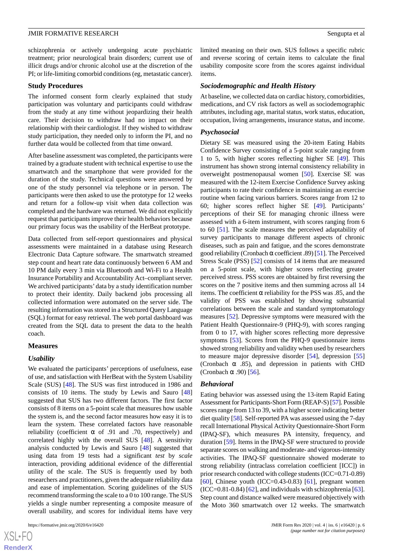schizophrenia or actively undergoing acute psychiatric treatment; prior neurological brain disorders; current use of illicit drugs and/or chronic alcohol use at the discretion of the PI; or life-limiting comorbid conditions (eg, metastatic cancer).

### **Study Procedures**

The informed consent form clearly explained that study participation was voluntary and participants could withdraw from the study at any time without jeopardizing their health care. Their decision to withdraw had no impact on their relationship with their cardiologist. If they wished to withdraw study participation, they needed only to inform the PI, and no further data would be collected from that time onward.

After baseline assessment was completed, the participants were trained by a graduate student with technical expertise to use the smartwatch and the smartphone that were provided for the duration of the study. Technical questions were answered by one of the study personnel via telephone or in person. The participants were then asked to use the prototype for 12 weeks and return for a follow-up visit when data collection was completed and the hardware was returned. We did not explicitly request that participants improve their health behaviors because our primary focus was the usability of the HerBeat prototype.

Data collected from self-report questionnaires and physical assessments were maintained in a database using Research Electronic Data Capture software. The smartwatch streamed step count and heart rate data continuously between 6 AM and 10 PM daily every 3 min via Bluetooth and Wi-Fi to a Health Insurance Portability and Accountability Act–compliant server. We archived participants' data by a study identification number to protect their identity. Daily backend jobs processing all collected information were automated on the server side. The resulting information was stored in a Structured Query Language (SQL) format for easy retrieval. The web portal dashboard was created from the SQL data to present the data to the health coach.

### **Measures**

### *Usability*

We evaluated the participants' perceptions of usefulness, ease of use, and satisfaction with HerBeat with the System Usability Scale (SUS) [\[48](#page-15-1)]. The SUS was first introduced in 1986 and consists of 10 items. The study by Lewis and Sauro [\[48](#page-15-1)] suggested that SUS has two different factors. The first factor consists of 8 items on a 5-point scale that measures how usable the system is, and the second factor measures how easy it is to learn the system. These correlated factors have reasonable reliability (coefficient  $\alpha$  of .91 and .70, respectively) and correlated highly with the overall SUS [[48\]](#page-15-1). A sensitivity analysis conducted by Lewis and Sauro [[48\]](#page-15-1) suggested that using data from 19 tests had a significant *test* by *scale* interaction, providing additional evidence of the differential utility of the scale. The SUS is frequently used by both researchers and practitioners, given the adequate reliability data and ease of implementation. Scoring guidelines of the SUS recommend transforming the scale to a 0 to 100 range. The SUS yields a single number representing a composite measure of overall usability, and scores for individual items have very

limited meaning on their own. SUS follows a specific rubric and reverse scoring of certain items to calculate the final usability composite score from the scores against individual items.

### *Sociodemographic and Health History*

At baseline, we collected data on cardiac history, comorbidities, medications, and CV risk factors as well as sociodemographic attributes, including age, marital status, work status, education, occupation, living arrangements, insurance status, and income.

#### *Psychosocial*

Dietary SE was measured using the 20-item Eating Habits Confidence Survey consisting of a 5-point scale ranging from 1 to 5, with higher scores reflecting higher SE [\[49](#page-15-2)]. This instrument has shown strong internal consistency reliability in overweight postmenopausal women [\[50](#page-15-3)]. Exercise SE was measured with the 12-item Exercise Confidence Survey asking participants to rate their confidence in maintaining an exercise routine when facing various barriers. Scores range from 12 to 60; higher scores reflect higher SE [[49\]](#page-15-2). Participants' perceptions of their SE for managing chronic illness were assessed with a 6-item instrument, with scores ranging from 6 to 60 [\[51](#page-15-4)]. The scale measures the perceived adaptability of survey participants to manage different aspects of chronic diseases, such as pain and fatigue, and the scores demonstrate good reliability (Cronbach  $\alpha$  coefficient .89) [\[51\]](#page-15-4). The Perceived Stress Scale (PSS) [[52\]](#page-15-5) consists of 14 items that are measured on a 5-point scale, with higher scores reflecting greater perceived stress. PSS scores are obtained by first reversing the scores on the 7 positive items and then summing across all 14 items. The coefficient  $\alpha$  reliability for the PSS was .85, and the validity of PSS was established by showing substantial correlations between the scale and standard symptomatology measures [\[52](#page-15-5)]. Depressive symptoms were measured with the Patient Health Questionnaire-9 (PHQ-9), with scores ranging from 0 to 17, with higher scores reflecting more depressive symptoms [[53\]](#page-15-6). Scores from the PHQ-9 questionnaire items showed strong reliability and validity when used by researchers to measure major depressive disorder [\[54](#page-15-7)], depression [\[55](#page-15-8)] (Cronbach  $\alpha$  .85), and depression in patients with CHD (Cronbach  $\alpha$  .90) [[56\]](#page-15-9).

#### *Behavioral*

Eating behavior was assessed using the 13-item Rapid Eating Assessment for Participants-Short Form (REAP-S) [\[57](#page-15-10)]. Possible scores range from 13 to 39, with a higher score indicating better diet quality [\[58](#page-15-11)]. Self-reported PA was assessed using the 7-day recall International Physical Activity Questionnaire-Short Form (IPAQ-SF), which measures PA intensity, frequency, and duration [[59\]](#page-15-12). Items in the IPAQ-SF were structured to provide separate scores on walking and moderate- and vigorous-intensity activities. The IPAQ-SF questionnaire showed moderate to strong reliability (intraclass correlation coefficient [ICC]) in prior research conducted with college students (ICC=0.71-0.89) [[60\]](#page-15-13), Chinese youth (ICC=0.43-0.83) [[61\]](#page-15-14), pregnant women  $(ICC=0.81-0.84)$  [\[62](#page-15-15)], and individuals with schizophrenia [[63\]](#page-15-16). Step count and distance walked were measured objectively with the Moto 360 smartwatch over 12 weeks. The smartwatch

 $XS$ -FO **[RenderX](http://www.renderx.com/)**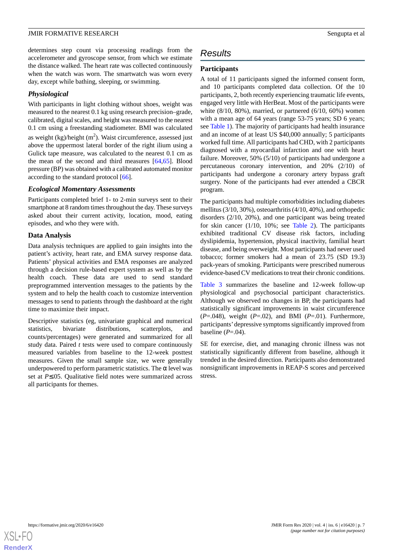determines step count via processing readings from the accelerometer and gyroscope sensor, from which we estimate the distance walked. The heart rate was collected continuously when the watch was worn. The smartwatch was worn every day, except while bathing, sleeping, or swimming.

# *Physiological*

With participants in light clothing without shoes, weight was measured to the nearest 0.1 kg using research precision–grade, calibrated, digital scales, and height was measured to the nearest 0.1 cm using a freestanding stadiometer. BMI was calculated as weight (kg)/height  $(m^2)$ . Waist circumference, assessed just above the uppermost lateral border of the right ilium using a Gulick tape measure, was calculated to the nearest 0.1 cm as the mean of the second and third measures [\[64](#page-15-17),[65\]](#page-15-18). Blood pressure (BP) was obtained with a calibrated automated monitor according to the standard protocol [[66\]](#page-15-19).

### *Ecological Momentary Assessments*

Participants completed brief 1- to 2-min surveys sent to their smartphone at 8 random times throughout the day. These surveys asked about their current activity, location, mood, eating episodes, and who they were with.

### **Data Analysis**

Data analysis techniques are applied to gain insights into the patient's activity, heart rate, and EMA survey response data. Patients' physical activities and EMA responses are analyzed through a decision rule-based expert system as well as by the health coach. These data are used to send standard preprogrammed intervention messages to the patients by the system and to help the health coach to customize intervention messages to send to patients through the dashboard at the right time to maximize their impact.

Descriptive statistics (eg, univariate graphical and numerical statistics, bivariate distributions, scatterplots, and counts/percentages) were generated and summarized for all study data. Paired *t* tests were used to compare continuously measured variables from baseline to the 12-week posttest measures. Given the small sample size, we were generally underpowered to perform parametric statistics. The  $\alpha$  level was set at *P*≤.05. Qualitative field notes were summarized across all participants for themes.

# *Results*

# **Participants**

A total of 11 participants signed the informed consent form, and 10 participants completed data collection. Of the 10 participants, 2, both recently experiencing traumatic life events, engaged very little with HerBeat. Most of the participants were white (8/10, 80%), married, or partnered (6/10, 60%) women with a mean age of 64 years (range 53-75 years; SD 6 years; see [Table 1](#page-7-0)). The majority of participants had health insurance and an income of at least US \$40,000 annually; 5 participants worked full time. All participants had CHD, with 2 participants diagnosed with a myocardial infarction and one with heart failure. Moreover, 50% (5/10) of participants had undergone a percutaneous coronary intervention, and 20% (2/10) of participants had undergone a coronary artery bypass graft surgery. None of the participants had ever attended a CBCR program.

The participants had multiple comorbidities including diabetes mellitus (3/10, 30%), osteoarthritis (4/10, 40%), and orthopedic disorders (2/10, 20%), and one participant was being treated for skin cancer (1/10, 10%; see [Table 2](#page-8-0)). The participants exhibited traditional CV disease risk factors, including dyslipidemia, hypertension, physical inactivity, familial heart disease, and being overweight. Most participants had never used tobacco; former smokers had a mean of 23.75 (SD 19.3) pack-years of smoking. Participants were prescribed numerous evidence-based CV medications to treat their chronic conditions.

[Table 3](#page-9-0) summarizes the baseline and 12-week follow-up physiological and psychosocial participant characteristics. Although we observed no changes in BP, the participants had statistically significant improvements in waist circumference (*P*=.048), weight (*P*=.02), and BMI (*P*=.01). Furthermore, participants'depressive symptoms significantly improved from baseline (*P*=.04).

SE for exercise, diet, and managing chronic illness was not statistically significantly different from baseline, although it trended in the desired direction. Participants also demonstrated nonsignificant improvements in REAP-S scores and perceived stress.

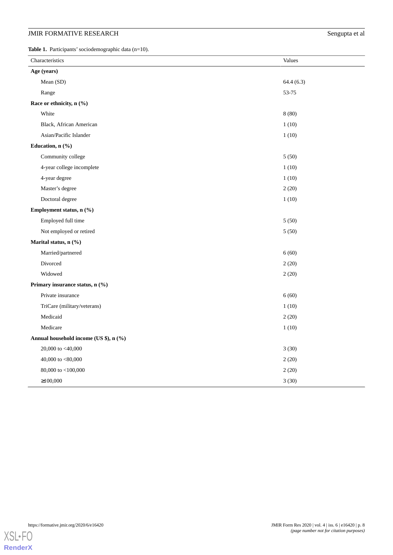<span id="page-7-0"></span>Table 1. Participants' sociodemographic data (n=10).

| Characteristics                        | Values    |  |  |
|----------------------------------------|-----------|--|--|
| Age (years)                            |           |  |  |
| Mean (SD)                              | 64.4(6.3) |  |  |
| Range                                  | 53-75     |  |  |
| Race or ethnicity, n (%)               |           |  |  |
| White                                  | 8(80)     |  |  |
| Black, African American                | 1(10)     |  |  |
| Asian/Pacific Islander                 | 1(10)     |  |  |
| Education, n (%)                       |           |  |  |
| Community college                      | 5(50)     |  |  |
| 4-year college incomplete              | 1(10)     |  |  |
| 4-year degree                          | 1(10)     |  |  |
| Master's degree                        | 2(20)     |  |  |
| Doctoral degree                        | 1(10)     |  |  |
| Employment status, n (%)               |           |  |  |
| Employed full time                     | 5(50)     |  |  |
| Not employed or retired                | 5(50)     |  |  |
| Marital status, n (%)                  |           |  |  |
| Married/partnered                      | 6(60)     |  |  |
| Divorced                               | 2(20)     |  |  |
| Widowed                                | 2(20)     |  |  |
| Primary insurance status, n (%)        |           |  |  |
| Private insurance                      | 6(60)     |  |  |
| TriCare (military/veterans)            | 1(10)     |  |  |
| Medicaid                               | 2(20)     |  |  |
| Medicare                               | 1(10)     |  |  |
| Annual household income (US \$), n (%) |           |  |  |
| 20,000 to $<40,000$                    | 3(30)     |  |  |
| 40,000 to $<\!\!80,\!000$              | 2(20)     |  |  |
| 80,000 to <100,000                     | 2(20)     |  |  |
| $\geq 100,000$                         | 3(30)     |  |  |



https://formative.jmir.org/2020/6/e16420 JMIR Form Res 2020 | vol. 4 | iss. 6 | e16420 | p. 8 *(page number not for citation purposes)*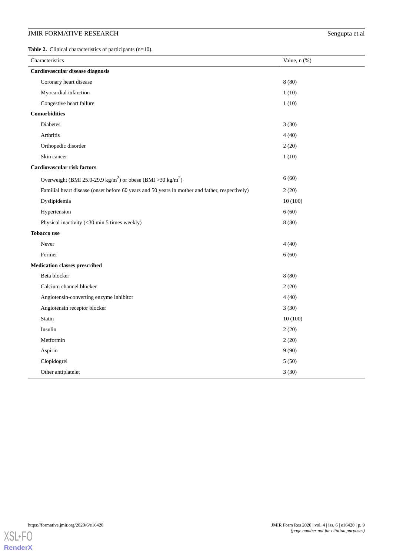<span id="page-8-0"></span>Table 2. Clinical characteristics of participants (n=10).

| Characteristics                                                                                | Value, $n$ $(\%)$ |  |
|------------------------------------------------------------------------------------------------|-------------------|--|
| Cardiovascular disease diagnosis                                                               |                   |  |
| Coronary heart disease                                                                         | 8(80)             |  |
| Myocardial infarction                                                                          | 1(10)             |  |
| Congestive heart failure                                                                       | 1(10)             |  |
| <b>Comorbidities</b>                                                                           |                   |  |
| Diabetes                                                                                       | 3(30)             |  |
| Arthritis                                                                                      | 4(40)             |  |
| Orthopedic disorder                                                                            | 2(20)             |  |
| Skin cancer                                                                                    | 1(10)             |  |
| <b>Cardiovascular risk factors</b>                                                             |                   |  |
| Overweight (BMI 25.0-29.9 kg/m <sup>2</sup> ) or obese (BMI > 30 kg/m <sup>2</sup> )           | 6(60)             |  |
| Familial heart disease (onset before 60 years and 50 years in mother and father, respectively) | 2(20)             |  |
| Dyslipidemia                                                                                   | 10(100)           |  |
| Hypertension                                                                                   | 6(60)             |  |
| Physical inactivity (<30 min 5 times weekly)                                                   | 8(80)             |  |
| <b>Tobacco use</b>                                                                             |                   |  |
| Never                                                                                          | 4(40)             |  |
| Former                                                                                         | 6(60)             |  |
| <b>Medication classes prescribed</b>                                                           |                   |  |
| Beta blocker                                                                                   | 8(80)             |  |
| Calcium channel blocker                                                                        | 2(20)             |  |
| Angiotensin-converting enzyme inhibitor                                                        | 4(40)             |  |
| Angiotensin receptor blocker                                                                   | 3(30)             |  |
| Statin                                                                                         | 10(100)           |  |
| Insulin                                                                                        | 2(20)             |  |
| Metformin                                                                                      | 2(20)             |  |
| Aspirin                                                                                        | 9(90)             |  |
| Clopidogrel                                                                                    | 5(50)             |  |
| Other antiplatelet                                                                             | 3(30)             |  |

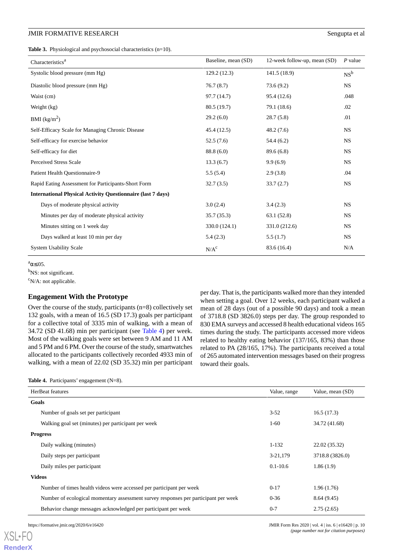<span id="page-9-0"></span>**Table 3.** Physiological and psychosocial characteristics (n=10).

| Characteristics <sup>a</sup>                                       | Baseline, mean (SD) | 12-week follow-up, mean (SD) | $P$ value |
|--------------------------------------------------------------------|---------------------|------------------------------|-----------|
| Systolic blood pressure (mm Hg)                                    | 129.2(12.3)         | 141.5 (18.9)                 | $NS^b$    |
| Diastolic blood pressure (mm Hg)                                   | 76.7(8.7)           | 73.6(9.2)                    | <b>NS</b> |
| Waist (cm)                                                         | 97.7 (14.7)         | 95.4 (12.6)                  | .048      |
| Weight (kg)                                                        | 80.5 (19.7)         | 79.1 (18.6)                  | .02       |
| BMI $(kg/m2)$                                                      | 29.2(6.0)           | 28.7(5.8)                    | .01       |
| Self-Efficacy Scale for Managing Chronic Disease                   | 45.4(12.5)          | 48.2(7.6)                    | <b>NS</b> |
| Self-efficacy for exercise behavior                                | 52.5(7.6)           | 54.4(6.2)                    | <b>NS</b> |
| Self-efficacy for diet                                             | 88.8 (6.0)          | 89.6 (6.8)                   | <b>NS</b> |
| <b>Perceived Stress Scale</b>                                      | 13.3(6.7)           | 9.9(6.9)                     | <b>NS</b> |
| Patient Health Ouestionnaire-9                                     | 5.5(5.4)            | 2.9(3.8)                     | .04       |
| Rapid Eating Assessment for Participants-Short Form                | 32.7(3.5)           | 33.7(2.7)                    | <b>NS</b> |
| <b>International Physical Activity Questionnaire (last 7 days)</b> |                     |                              |           |
| Days of moderate physical activity                                 | 3.0(2.4)            | 3.4(2.3)                     | <b>NS</b> |
| Minutes per day of moderate physical activity                      | 35.7(35.3)          | 63.1(52.8)                   | <b>NS</b> |
| Minutes sitting on 1 week day                                      | 330.0 (124.1)       | 331.0 (212.6)                | <b>NS</b> |
| Days walked at least 10 min per day                                | 5.4(2.3)            | 5.5(1.7)                     | <b>NS</b> |
| <b>System Usability Scale</b>                                      | $N/A^c$             | 83.6 (16.4)                  | N/A       |

 $a_{\alpha \leq .05}$ .

<sup>b</sup>NS: not significant.

 $\rm^c$ N/A: not applicable.

### **Engagement With the Prototype**

<span id="page-9-1"></span>Over the course of the study, participants (n=8) collectively set 132 goals, with a mean of 16.5 (SD 17.3) goals per participant for a collective total of 3335 min of walking, with a mean of 34.72 (SD 41.68) min per participant (see [Table 4\)](#page-9-1) per week. Most of the walking goals were set between 9 AM and 11 AM and 5 PM and 6 PM. Over the course of the study, smartwatches allocated to the participants collectively recorded 4933 min of walking, with a mean of 22.02 (SD 35.32) min per participant

per day. That is, the participants walked more than they intended when setting a goal. Over 12 weeks, each participant walked a mean of 28 days (out of a possible 90 days) and took a mean of 3718.8 (SD 3826.0) steps per day. The group responded to 830 EMA surveys and accessed 8 health educational videos 165 times during the study. The participants accessed more videos related to healthy eating behavior (137/165, 83%) than those related to PA (28/165, 17%). The participants received a total of 265 automated intervention messages based on their progress toward their goals.

**Table 4.** Participants' engagement (N=8).

| HerBeat features |                                                                                     | Value, range | Value, mean (SD) |
|------------------|-------------------------------------------------------------------------------------|--------------|------------------|
| Goals            |                                                                                     |              |                  |
|                  | Number of goals set per participant                                                 | $3 - 52$     | 16.5(17.3)       |
|                  | Walking goal set (minutes) per participant per week                                 | $1-60$       | 34.72 (41.68)    |
| <b>Progress</b>  |                                                                                     |              |                  |
|                  | Daily walking (minutes)                                                             | $1 - 132$    | 22.02 (35.32)    |
|                  | Daily steps per participant                                                         | 3-21,179     | 3718.8 (3826.0)  |
|                  | Daily miles per participant                                                         | $0.1 - 10.6$ | 1.86(1.9)        |
| <b>Videos</b>    |                                                                                     |              |                  |
|                  | Number of times health videos were accessed per participant per week                | $0 - 17$     | 1.96(1.76)       |
|                  | Number of ecological momentary assessment survey responses per participant per week | $0 - 36$     | 8.64(9.45)       |
|                  | Behavior change messages acknowledged per participant per week                      | $0 - 7$      | 2.75(2.65)       |
|                  |                                                                                     |              |                  |

[XSL](http://www.w3.org/Style/XSL)•FO **[RenderX](http://www.renderx.com/)**

https://formative.jmir.org/2020/6/e16420 p. 10<br> **JMIR** Form Res 2020 | vol. 4 | iss. 6 | e16420 | p. 10 *(page number not for citation purposes)*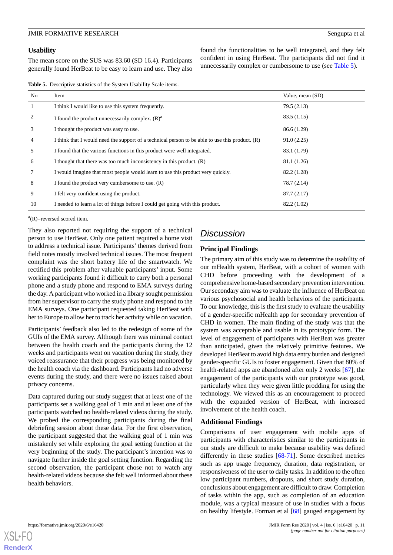### **Usability**

The mean score on the SUS was 83.60 (SD 16.4). Participants generally found HerBeat to be easy to learn and use. They also

found the functionalities to be well integrated, and they felt confident in using HerBeat. The participants did not find it unnecessarily complex or cumbersome to use (see [Table 5\)](#page-10-0).

<span id="page-10-0"></span>**Table 5.** Descriptive statistics of the System Usability Scale items.

| No             | Item                                                                                              | Value, mean (SD) |
|----------------|---------------------------------------------------------------------------------------------------|------------------|
| $\mathbf{1}$   | I think I would like to use this system frequently.                                               | 79.5 (2.13)      |
| 2              | I found the product unnecessarily complex. $(R)^a$                                                | 83.5(1.15)       |
| 3              | I thought the product was easy to use.                                                            | 86.6 (1.29)      |
| $\overline{4}$ | I think that I would need the support of a technical person to be able to use this product. $(R)$ | 91.0(2.25)       |
| 5              | I found that the various functions in this product were well integrated.                          | 83.1 (1.79)      |
| 6              | I thought that there was too much inconsistency in this product. (R)                              | 81.1 (1.26)      |
| 7              | I would imagine that most people would learn to use this product very quickly.                    | 82.2 (1.28)      |
| 8              | I found the product very cumbersome to use. $(R)$                                                 | 78.7 (2.14)      |
| 9              | I felt very confident using the product.                                                          | 87.7(2.17)       |
| 10             | I needed to learn a lot of things before I could get going with this product.                     | 82.2 (1.02)      |

 $a(R)$ =reversed scored item.

They also reported not requiring the support of a technical person to use HerBeat. Only one patient required a home visit to address a technical issue. Participants' themes derived from field notes mostly involved technical issues. The most frequent complaint was the short battery life of the smartwatch. We rectified this problem after valuable participants' input. Some working participants found it difficult to carry both a personal phone and a study phone and respond to EMA surveys during the day. A participant who worked in a library sought permission from her supervisor to carry the study phone and respond to the EMA surveys. One participant requested taking HerBeat with her to Europe to allow her to track her activity while on vacation.

Participants' feedback also led to the redesign of some of the GUIs of the EMA survey. Although there was minimal contact between the health coach and the participants during the 12 weeks and participants went on vacation during the study, they voiced reassurance that their progress was being monitored by the health coach via the dashboard. Participants had no adverse events during the study, and there were no issues raised about privacy concerns.

Data captured during our study suggest that at least one of the participants set a walking goal of 1 min and at least one of the participants watched no health-related videos during the study. We probed the corresponding participants during the final debriefing session about these data. For the first observation, the participant suggested that the walking goal of 1 min was mistakenly set while exploring the goal setting function at the very beginning of the study. The participant's intention was to navigate further inside the goal setting function. Regarding the second observation, the participant chose not to watch any health-related videos because she felt well informed about these health behaviors.

# *Discussion*

# **Principal Findings**

The primary aim of this study was to determine the usability of our mHealth system, HerBeat, with a cohort of women with CHD before proceeding with the development of a comprehensive home-based secondary prevention intervention. Our secondary aim was to evaluate the influence of HerBeat on various psychosocial and health behaviors of the participants. To our knowledge, this is the first study to evaluate the usability of a gender-specific mHealth app for secondary prevention of CHD in women. The main finding of the study was that the system was acceptable and usable in its prototypic form. The level of engagement of participants with HerBeat was greater than anticipated, given the relatively primitive features. We developed HerBeat to avoid high data entry burden and designed gender-specific GUIs to foster engagement. Given that 80% of health-related apps are abandoned after only 2 weeks [\[67](#page-15-20)], the engagement of the participants with our prototype was good, particularly when they were given little prodding for using the technology. We viewed this as an encouragement to proceed with the expanded version of HerBeat, with increased involvement of the health coach.

# **Additional Findings**

Comparisons of user engagement with mobile apps of participants with characteristics similar to the participants in our study are difficult to make because usability was defined differently in these studies  $[68-71]$  $[68-71]$  $[68-71]$ . Some described metrics such as app usage frequency, duration, data registration, or responsiveness of the user to daily tasks. In addition to the often low participant numbers, dropouts, and short study duration, conclusions about engagement are difficult to draw. Completion of tasks within the app, such as completion of an education module, was a typical measure of use in studies with a focus on healthy lifestyle. Forman et al [[68\]](#page-16-0) gauged engagement by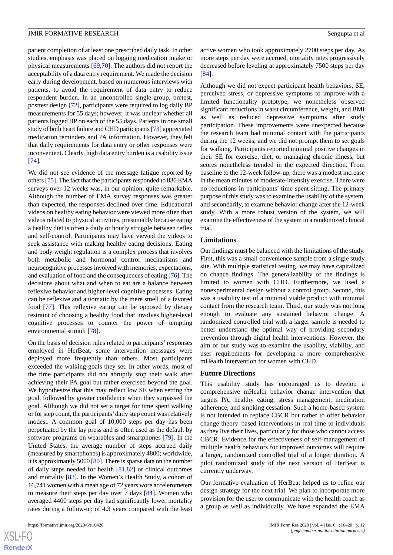patient completion of at least one prescribed daily task. In other studies, emphasis was placed on logging medication intake or physical measurements [\[69](#page-16-2),[70\]](#page-16-3). The authors did not report the acceptability of a data entry requirement. We made the decision early during development, based on numerous interviews with patients, to avoid the requirement of data entry to reduce respondent burden. In an uncontrolled single-group, pretest, posttest design [\[72](#page-16-4)], participants were required to log daily BP measurements for 55 days; however, it was unclear whether all patients logged BP on each of the 55 days. Patients in one small study of both heart failure and CHD participants [\[73\]](#page-16-5) appreciated medication reminders and PA information. However, they felt that daily requirements for data entry or other responses were inconvenient. Clearly, high data entry burden is a usability issue [[74\]](#page-16-6).

We did not see evidence of the message fatigue reported by others [[75\]](#page-16-7). The fact that the participants responded to 830 EMA surveys over 12 weeks was, in our opinion, quite remarkable. Although the number of EMA survey responses was greater than expected, the responses declined over time. Educational videos on healthy eating behavior were viewed more often than videos related to physical activities, presumably because eating a healthy diet is often a daily or hourly struggle between reflex and self-control. Participants may have viewed the videos to seek assistance with making healthy eating decisions. Eating and body weight regulation is a complex process that involves both metabolic and hormonal control mechanisms and neurocognitive processes involved with memories, expectations, and evaluation of food and the consequences of eating [\[76](#page-16-8)]. The decisions about what and when to eat are a balance between reflexive behavior and higher-level cognitive processes. Eating can be reflexive and automatic by the mere smell of a favored food [[77\]](#page-16-9). This reflexive eating can be opposed by dietary restraint of choosing a healthy food that involves higher-level cognitive processes to counter the power of tempting environmental stimuli [\[78](#page-16-10)].

On the basis of decision rules related to participants'responses employed in HerBeat, some intervention messages were deployed more frequently than others. Most participants exceeded the walking goals they set. In other words, most of the time participants did not abruptly stop their walk after achieving their PA goal but rather exercised beyond the goal. We hypothesize that this may reflect low SE when setting the goal, followed by greater confidence when they surpassed the goal. Although we did not set a target for time spent walking or for step count, the participants'daily step count was relatively modest. A common goal of 10,000 steps per day has been perpetuated by the lay press and is often used as the default by software programs on wearables and smartphones [[79\]](#page-16-11). In the United States, the average number of steps accrued daily (measured by smartphones) is approximately 4800; worldwide, it is approximately 5000 [\[80](#page-16-12)]. There is sparse data on the number of daily steps needed for health [\[81](#page-16-13),[82\]](#page-16-14) or clinical outcomes and mortality [\[83](#page-16-15)]. In the Women's Health Study, a cohort of 16,741 women with a mean age of 72 years wore accelerometers to measure their steps per day over 7 days [[84\]](#page-16-16). Women who averaged 4400 steps per day had significantly lower mortality rates during a follow-up of 4.3 years compared with the least

active women who took approximately 2700 steps per day. As more steps per day were accrued, mortality rates progressively decreased before leveling at approximately 7500 steps per day [[84\]](#page-16-16).

Although we did not expect participant health behaviors, SE, perceived stress, or depressive symptoms to improve with a limited functionality prototype, we nonetheless observed significant reductions in waist circumference, weight, and BMI as well as reduced depressive symptoms after study participation. These improvements were unexpected because the research team had minimal contact with the participants during the 12 weeks, and we did not prompt them to set goals for walking. Participants reported minimal positive changes in their SE for exercise, diet, or managing chronic illness, but scores nonetheless trended in the expected direction. From baseline to the 12-week follow-up, there was a modest increase in the mean minutes of moderate-intensity exercise. There were no reductions in participants' time spent sitting. The primary purpose of this study was to examine the usability of the system, and secondarily, to examine behavior change after the 12-week study. With a more robust version of the system, we will examine the effectiveness of the system in a randomized clinical trial.

#### **Limitations**

Our findings must be balanced with the limitations of the study. First, this was a small convenience sample from a single study site. With multiple statistical testing, we may have capitalized on chance findings. The generalizability of the findings is limited to women with CHD. Furthermore, we used a nonexperimental design without a control group. Second, this was a usability test of a minimal viable product with minimal contact from the research team. Third, our study was not long enough to evaluate any sustained behavior change. A randomized controlled trial with a larger sample is needed to better understand the optimal way of providing secondary prevention through digital health interventions. However, the aim of our study was to examine the usability, viability, and user requirements for developing a more comprehensive mHealth intervention for women with CHD.

### **Future Directions**

This usability study has encouraged us to develop a comprehensive mHealth behavior change intervention that targets PA, healthy eating, stress management, medication adherence, and smoking cessation. Such a home-based system is not intended to replace CBCR but rather to offer behavior change theory–based interventions in real time to individuals as they live their lives, particularly for those who cannot access CBCR. Evidence for the effectiveness of self-management of multiple health behaviors for improved outcomes will require a larger, randomized controlled trial of a longer duration. A pilot randomized study of the next version of HerBeat is currently underway.

Our formative evaluation of HerBeat helped us to refine our design strategy for the next trial. We plan to incorporate more provision for the user to communicate with the health coach as a group as well as individually. We have expanded the EMA

 $XS$  $\cdot$ FC **[RenderX](http://www.renderx.com/)**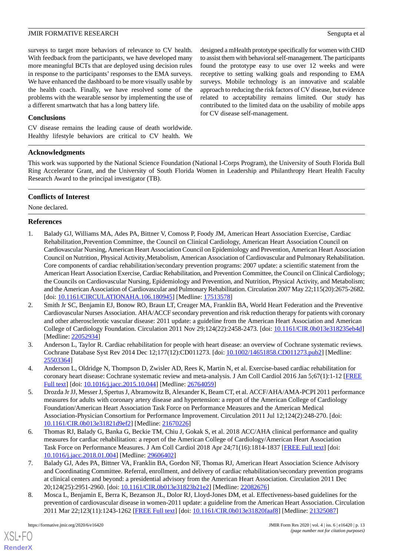surveys to target more behaviors of relevance to CV health. With feedback from the participants, we have developed many more meaningful BCTs that are deployed using decision rules in response to the participants' responses to the EMA surveys. We have enhanced the dashboard to be more visually usable by the health coach. Finally, we have resolved some of the problems with the wearable sensor by implementing the use of a different smartwatch that has a long battery life.

to assist them with behavioral self-management. The participants found the prototype easy to use over 12 weeks and were receptive to setting walking goals and responding to EMA surveys. Mobile technology is an innovative and scalable approach to reducing the risk factors of CV disease, but evidence related to acceptability remains limited. Our study has contributed to the limited data on the usability of mobile apps for CV disease self-management.

designed a mHealth prototype specifically for women with CHD

### **Conclusions**

CV disease remains the leading cause of death worldwide. Healthy lifestyle behaviors are critical to CV health. We

### **Acknowledgments**

This work was supported by the National Science Foundation (National I-Corps Program), the University of South Florida Bull Ring Accelerator Grant, and the University of South Florida Women in Leadership and Philanthropy Heart Health Faculty Research Award to the principal investigator (TB).

### **Conflicts of Interest**

<span id="page-12-0"></span>None declared.

### **References**

- 1. Balady GJ, Williams MA, Ades PA, Bittner V, Comoss P, Foody JM, American Heart Association Exercise, Cardiac Rehabilitation, Prevention Committee, the Council on Clinical Cardiology, American Heart Association Council on Cardiovascular Nursing, American Heart Association Council on Epidemiology and Prevention, American Heart Association Council on Nutrition, Physical Activity, Metabolism, American Association of Cardiovascular and Pulmonary Rehabilitation. Core components of cardiac rehabilitation/secondary prevention programs: 2007 update: a scientific statement from the American Heart Association Exercise, Cardiac Rehabilitation, and Prevention Committee, the Council on Clinical Cardiology; the Councils on Cardiovascular Nursing, Epidemiology and Prevention, and Nutrition, Physical Activity, and Metabolism; and the American Association of Cardiovascular and Pulmonary Rehabilitation. Circulation 2007 May 22;115(20):2675-2682. [doi: <u>[10.1161/CIRCULATIONAHA.106.180945](http://dx.doi.org/10.1161/CIRCULATIONAHA.106.180945)</u>] [Medline: [17513578\]](http://www.ncbi.nlm.nih.gov/entrez/query.fcgi?cmd=Retrieve&db=PubMed&list_uids=17513578&dopt=Abstract)
- <span id="page-12-3"></span><span id="page-12-2"></span>2. Smith Jr SC, Benjamin EJ, Bonow RO, Braun LT, Creager MA, Franklin BA, World Heart Federation and the Preventive Cardiovascular Nurses Association. AHA/ACCF secondary prevention and risk reduction therapy for patients with coronary and other atherosclerotic vascular disease: 2011 update: a guideline from the American Heart Association and American College of Cardiology Foundation. Circulation 2011 Nov 29;124(22):2458-2473. [doi: [10.1161/CIR.0b013e318235eb4d\]](http://dx.doi.org/10.1161/CIR.0b013e318235eb4d) [Medline: [22052934](http://www.ncbi.nlm.nih.gov/entrez/query.fcgi?cmd=Retrieve&db=PubMed&list_uids=22052934&dopt=Abstract)]
- <span id="page-12-4"></span><span id="page-12-1"></span>3. Anderson L, Taylor R. Cardiac rehabilitation for people with heart disease: an overview of Cochrane systematic reviews. Cochrane Database Syst Rev 2014 Dec 12;177(12):CD011273. [doi: [10.1002/14651858.CD011273.pub2](http://dx.doi.org/10.1002/14651858.CD011273.pub2)] [Medline: [25503364](http://www.ncbi.nlm.nih.gov/entrez/query.fcgi?cmd=Retrieve&db=PubMed&list_uids=25503364&dopt=Abstract)]
- 4. Anderson L, Oldridge N, Thompson D, Zwisler AD, Rees K, Martin N, et al. Exercise-based cardiac rehabilitation for coronary heart disease: Cochrane systematic review and meta-analysis. J Am Coll Cardiol 2016 Jan 5;67(1):1-12 [[FREE](https://linkinghub.elsevier.com/retrieve/pii/S0735-1097(15)07119-3) [Full text\]](https://linkinghub.elsevier.com/retrieve/pii/S0735-1097(15)07119-3) [doi: [10.1016/j.jacc.2015.10.044](http://dx.doi.org/10.1016/j.jacc.2015.10.044)] [Medline: [26764059](http://www.ncbi.nlm.nih.gov/entrez/query.fcgi?cmd=Retrieve&db=PubMed&list_uids=26764059&dopt=Abstract)]
- <span id="page-12-5"></span>5. Drozda Jr JJ, Messer J, Spertus J, Abramowitz B, Alexander K, Beam CT, et al. ACCF/AHA/AMA-PCPI 2011 performance measures for adults with coronary artery disease and hypertension: a report of the American College of Cardiology Foundation/American Heart Association Task Force on Performance Measures and the American Medical Association-Physician Consortium for Performance Improvement. Circulation 2011 Jul 12;124(2):248-270. [doi: [10.1161/CIR.0b013e31821d9ef2](http://dx.doi.org/10.1161/CIR.0b013e31821d9ef2)] [Medline: [21670226\]](http://www.ncbi.nlm.nih.gov/entrez/query.fcgi?cmd=Retrieve&db=PubMed&list_uids=21670226&dopt=Abstract)
- <span id="page-12-7"></span><span id="page-12-6"></span>6. Thomas RJ, Balady G, Banka G, Beckie TM, Chiu J, Gokak S, et al. 2018 ACC/AHA clinical performance and quality measures for cardiac rehabilitation: a report of the American College of Cardiology/American Heart Association Task Force on Performance Measures. J Am Coll Cardiol 2018 Apr 24;71(16):1814-1837 [\[FREE Full text\]](https://linkinghub.elsevier.com/retrieve/pii/S0735-1097(18)30025-1) [doi: [10.1016/j.jacc.2018.01.004\]](http://dx.doi.org/10.1016/j.jacc.2018.01.004) [Medline: [29606402\]](http://www.ncbi.nlm.nih.gov/entrez/query.fcgi?cmd=Retrieve&db=PubMed&list_uids=29606402&dopt=Abstract)
- 7. Balady GJ, Ades PA, Bittner VA, Franklin BA, Gordon NF, Thomas RJ, American Heart Association Science Advisory and Coordinating Committee. Referral, enrollment, and delivery of cardiac rehabilitation/secondary prevention programs at clinical centers and beyond: a presidential advisory from the American Heart Association. Circulation 2011 Dec 20;124(25):2951-2960. [doi: [10.1161/CIR.0b013e31823b21e2\]](http://dx.doi.org/10.1161/CIR.0b013e31823b21e2) [Medline: [22082676\]](http://www.ncbi.nlm.nih.gov/entrez/query.fcgi?cmd=Retrieve&db=PubMed&list_uids=22082676&dopt=Abstract)
- 8. Mosca L, Benjamin E, Berra K, Bezanson JL, Dolor RJ, Lloyd-Jones DM, et al. Effectiveness-based guidelines for the prevention of cardiovascular disease in women-2011 update: a guideline from the American Heart Association. Circulation 2011 Mar 22;123(11):1243-1262 [[FREE Full text\]](http://europepmc.org/abstract/MED/21325087) [doi: [10.1161/CIR.0b013e31820faaf8\]](http://dx.doi.org/10.1161/CIR.0b013e31820faaf8) [Medline: [21325087](http://www.ncbi.nlm.nih.gov/entrez/query.fcgi?cmd=Retrieve&db=PubMed&list_uids=21325087&dopt=Abstract)]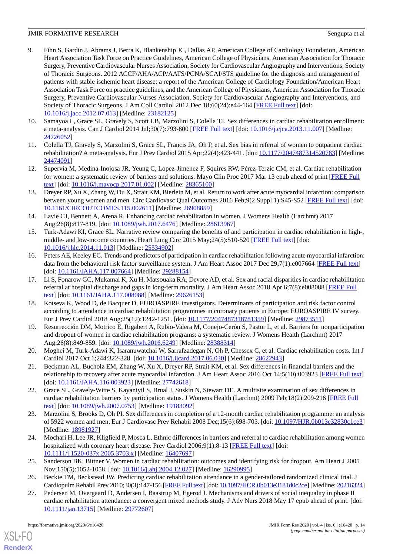- 9. Fihn S, Gardin J, Abrams J, Berra K, Blankenship JC, Dallas AP, American College of Cardiology Foundation, American Heart Association Task Force on Practice Guidelines, American College of Physicians, American Association for Thoracic Surgery, Preventive Cardiovascular Nurses Association, Society for Cardiovascular Angiography and Interventions, Society of Thoracic Surgeons. 2012 ACCF/AHA/ACP/AATS/PCNA/SCAI/STS guideline for the diagnosis and management of patients with stable ischemic heart disease: a report of the American College of Cardiology Foundation/American Heart Association Task Force on practice guidelines, and the American College of Physicians, American Association for Thoracic Surgery, Preventive Cardiovascular Nurses Association, Society for Cardiovascular Angiography and Interventions, and Society of Thoracic Surgeons. J Am Coll Cardiol 2012 Dec 18;60(24):e44-164 [[FREE Full text](https://linkinghub.elsevier.com/retrieve/pii/S0735-1097(12)02702-7)] [doi: [10.1016/j.jacc.2012.07.013\]](http://dx.doi.org/10.1016/j.jacc.2012.07.013) [Medline: [23182125\]](http://www.ncbi.nlm.nih.gov/entrez/query.fcgi?cmd=Retrieve&db=PubMed&list_uids=23182125&dopt=Abstract)
- 10. Samayoa L, Grace SL, Gravely S, Scott LB, Marzolini S, Colella TJ. Sex differences in cardiac rehabilitation enrollment: a meta-analysis. Can J Cardiol 2014 Jul;30(7):793-800 [[FREE Full text\]](https://linkinghub.elsevier.com/retrieve/pii/S0828-282X(13)01638-3) [doi: [10.1016/j.cjca.2013.11.007](http://dx.doi.org/10.1016/j.cjca.2013.11.007)] [Medline: [24726052](http://www.ncbi.nlm.nih.gov/entrez/query.fcgi?cmd=Retrieve&db=PubMed&list_uids=24726052&dopt=Abstract)]
- 11. Colella TJ, Gravely S, Marzolini S, Grace SL, Francis JA, Oh P, et al. Sex bias in referral of women to outpatient cardiac rehabilitation? A meta-analysis. Eur J Prev Cardiol 2015 Apr;22(4):423-441. [doi: [10.1177/2047487314520783](http://dx.doi.org/10.1177/2047487314520783)] [Medline: [24474091](http://www.ncbi.nlm.nih.gov/entrez/query.fcgi?cmd=Retrieve&db=PubMed&list_uids=24474091&dopt=Abstract)]
- 12. Supervía M, Medina-Inojosa JR, Yeung C, Lopez-Jimenez F, Squires RW, Pérez-Terzic CM, et al. Cardiac rehabilitation for women: a systematic review of barriers and solutions. Mayo Clin Proc 2017 Mar 13 epub ahead of print [[FREE Full](http://europepmc.org/abstract/MED/28365100) [text](http://europepmc.org/abstract/MED/28365100)] [doi: [10.1016/j.mayocp.2017.01.002](http://dx.doi.org/10.1016/j.mayocp.2017.01.002)] [Medline: [28365100](http://www.ncbi.nlm.nih.gov/entrez/query.fcgi?cmd=Retrieve&db=PubMed&list_uids=28365100&dopt=Abstract)]
- 13. Dreyer RP, Xu X, Zhang W, Du X, Strait KM, Bierlein M, et al. Return to work after acute myocardial infarction: comparison between young women and men. Circ Cardiovasc Qual Outcomes 2016 Feb;9(2 Suppl 1):S45-S52 [[FREE Full text](http://europepmc.org/abstract/MED/26908859)] [doi: [10.1161/CIRCOUTCOMES.115.002611](http://dx.doi.org/10.1161/CIRCOUTCOMES.115.002611)] [Medline: [26908859\]](http://www.ncbi.nlm.nih.gov/entrez/query.fcgi?cmd=Retrieve&db=PubMed&list_uids=26908859&dopt=Abstract)
- 14. Lavie CJ, Bennett A, Arena R. Enhancing cardiac rehabilitation in women. J Womens Health (Larchmt) 2017 Aug;26(8):817-819. [doi: [10.1089/jwh.2017.6476\]](http://dx.doi.org/10.1089/jwh.2017.6476) [Medline: [28613967\]](http://www.ncbi.nlm.nih.gov/entrez/query.fcgi?cmd=Retrieve&db=PubMed&list_uids=28613967&dopt=Abstract)
- 15. Turk-Adawi KI, Grace SL. Narrative review comparing the benefits of and participation in cardiac rehabilitation in high-, middle- and low-income countries. Heart Lung Circ 2015 May;24(5):510-520 [[FREE Full text](http://europepmc.org/abstract/MED/25534902)] [doi: [10.1016/j.hlc.2014.11.013\]](http://dx.doi.org/10.1016/j.hlc.2014.11.013) [Medline: [25534902\]](http://www.ncbi.nlm.nih.gov/entrez/query.fcgi?cmd=Retrieve&db=PubMed&list_uids=25534902&dopt=Abstract)
- 16. Peters AE, Keeley EC. Trends and predictors of participation in cardiac rehabilitation following acute myocardial infarction: data from the behavioral risk factor surveillance system. J Am Heart Assoc 2017 Dec 29;7(1):e007664 [[FREE Full text](http://www.ahajournals.org/doi/full/10.1161/JAHA.117.007664?url_ver=Z39.88-2003&rfr_id=ori:rid:crossref.org&rfr_dat=cr_pub%3dpubmed)] [doi: [10.1161/JAHA.117.007664](http://dx.doi.org/10.1161/JAHA.117.007664)] [Medline: [29288154\]](http://www.ncbi.nlm.nih.gov/entrez/query.fcgi?cmd=Retrieve&db=PubMed&list_uids=29288154&dopt=Abstract)
- <span id="page-13-0"></span>17. Li S, Fonarow GC, Mukamal K, Xu H, Matsouaka RA, Devore AD, et al. Sex and racial disparities in cardiac rehabilitation referral at hospital discharge and gaps in long-term mortality. J Am Heart Assoc 2018 Apr 6;7(8):e008088 [[FREE Full](http://www.ahajournals.org/doi/full/10.1161/JAHA.117.008088?url_ver=Z39.88-2003&rfr_id=ori:rid:crossref.org&rfr_dat=cr_pub%3dpubmed) [text](http://www.ahajournals.org/doi/full/10.1161/JAHA.117.008088?url_ver=Z39.88-2003&rfr_id=ori:rid:crossref.org&rfr_dat=cr_pub%3dpubmed)] [doi: [10.1161/JAHA.117.008088\]](http://dx.doi.org/10.1161/JAHA.117.008088) [Medline: [29626153\]](http://www.ncbi.nlm.nih.gov/entrez/query.fcgi?cmd=Retrieve&db=PubMed&list_uids=29626153&dopt=Abstract)
- <span id="page-13-1"></span>18. Kotseva K, Wood D, de Bacquer D, EUROASPIRE investigators. Determinants of participation and risk factor control according to attendance in cardiac rehabilitation programmes in coronary patients in Europe: EUROASPIRE IV survey. Eur J Prev Cardiol 2018 Aug;25(12):1242-1251. [doi: [10.1177/2047487318781359\]](http://dx.doi.org/10.1177/2047487318781359) [Medline: [29873511\]](http://www.ncbi.nlm.nih.gov/entrez/query.fcgi?cmd=Retrieve&db=PubMed&list_uids=29873511&dopt=Abstract)
- <span id="page-13-3"></span><span id="page-13-2"></span>19. Resurrección DM, Motrico E, Rigabert A, Rubio-Valera M, Conejo-Cerón S, Pastor L, et al. Barriers for nonparticipation and dropout of women in cardiac rehabilitation programs: a systematic review. J Womens Health (Larchmt) 2017 Aug;26(8):849-859. [doi: [10.1089/jwh.2016.6249\]](http://dx.doi.org/10.1089/jwh.2016.6249) [Medline: [28388314\]](http://www.ncbi.nlm.nih.gov/entrez/query.fcgi?cmd=Retrieve&db=PubMed&list_uids=28388314&dopt=Abstract)
- <span id="page-13-4"></span>20. Moghei M, Turk-Adawi K, Isaranuwatchai W, Sarrafzadegan N, Oh P, Chessex C, et al. Cardiac rehabilitation costs. Int J Cardiol 2017 Oct 1;244:322-328. [doi: [10.1016/j.ijcard.2017.06.030\]](http://dx.doi.org/10.1016/j.ijcard.2017.06.030) [Medline: [28622943](http://www.ncbi.nlm.nih.gov/entrez/query.fcgi?cmd=Retrieve&db=PubMed&list_uids=28622943&dopt=Abstract)]
- 21. Beckman AL, Bucholz EM, Zhang W, Xu X, Dreyer RP, Strait KM, et al. Sex differences in financial barriers and the relationship to recovery after acute myocardial infarction. J Am Heart Assoc 2016 Oct 14;5(10):003923 [\[FREE Full text\]](http://www.ahajournals.org/doi/full/10.1161/JAHA.116.003923?url_ver=Z39.88-2003&rfr_id=ori:rid:crossref.org&rfr_dat=cr_pub%3dpubmed) [doi: [10.1161/JAHA.116.003923](http://dx.doi.org/10.1161/JAHA.116.003923)] [Medline: [27742618\]](http://www.ncbi.nlm.nih.gov/entrez/query.fcgi?cmd=Retrieve&db=PubMed&list_uids=27742618&dopt=Abstract)
- 22. Grace SL, Gravely-Witte S, Kayaniyil S, Brual J, Suskin N, Stewart DE. A multisite examination of sex differences in cardiac rehabilitation barriers by participation status. J Womens Health (Larchmt) 2009 Feb;18(2):209-216 [[FREE Full](http://europepmc.org/abstract/MED/19183092) [text](http://europepmc.org/abstract/MED/19183092)] [doi: [10.1089/jwh.2007.0753\]](http://dx.doi.org/10.1089/jwh.2007.0753) [Medline: [19183092\]](http://www.ncbi.nlm.nih.gov/entrez/query.fcgi?cmd=Retrieve&db=PubMed&list_uids=19183092&dopt=Abstract)
- 23. Marzolini S, Brooks D, Oh PI. Sex differences in completion of a 12-month cardiac rehabilitation programme: an analysis of 5922 women and men. Eur J Cardiovasc Prev Rehabil 2008 Dec;15(6):698-703. [doi: [10.1097/HJR.0b013e32830c1ce3](http://dx.doi.org/10.1097/HJR.0b013e32830c1ce3)] [Medline: [18981927](http://www.ncbi.nlm.nih.gov/entrez/query.fcgi?cmd=Retrieve&db=PubMed&list_uids=18981927&dopt=Abstract)]
- <span id="page-13-5"></span>24. Mochari H, Lee JR, Kligfield P, Mosca L. Ethnic differences in barriers and referral to cardiac rehabilitation among women hospitalized with coronary heart disease. Prev Cardiol 2006;9(1):8-13 [[FREE Full text\]](https://onlinelibrary.wiley.com/resolve/openurl?genre=article&sid=nlm:pubmed&issn=1520-037X&date=2006&volume=9&issue=1&spage=8) [doi: [10.1111/j.1520-037x.2005.3703.x\]](http://dx.doi.org/10.1111/j.1520-037x.2005.3703.x) [Medline: [16407697\]](http://www.ncbi.nlm.nih.gov/entrez/query.fcgi?cmd=Retrieve&db=PubMed&list_uids=16407697&dopt=Abstract)
- 25. Sanderson BK, Bittner V. Women in cardiac rehabilitation: outcomes and identifying risk for dropout. Am Heart J 2005 Nov;150(5):1052-1058. [doi: [10.1016/j.ahj.2004.12.027\]](http://dx.doi.org/10.1016/j.ahj.2004.12.027) [Medline: [16290995\]](http://www.ncbi.nlm.nih.gov/entrez/query.fcgi?cmd=Retrieve&db=PubMed&list_uids=16290995&dopt=Abstract)
- 26. Beckie TM, Beckstead JW. Predicting cardiac rehabilitation attendance in a gender-tailored randomized clinical trial. J Cardiopulm Rehabil Prev 2010;30(3):147-156 [[FREE Full text\]](http://europepmc.org/abstract/MED/20216324) [doi: [10.1097/HCR.0b013e3181d0c2ce](http://dx.doi.org/10.1097/HCR.0b013e3181d0c2ce)] [Medline: [20216324\]](http://www.ncbi.nlm.nih.gov/entrez/query.fcgi?cmd=Retrieve&db=PubMed&list_uids=20216324&dopt=Abstract)
- 27. Pedersen M, Overgaard D, Andersen I, Baastrup M, Egerod I. Mechanisms and drivers of social inequality in phase II cardiac rehabilitation attendance: a convergent mixed methods study. J Adv Nurs 2018 May 17 epub ahead of print. [doi: [10.1111/jan.13715\]](http://dx.doi.org/10.1111/jan.13715) [Medline: [29772607](http://www.ncbi.nlm.nih.gov/entrez/query.fcgi?cmd=Retrieve&db=PubMed&list_uids=29772607&dopt=Abstract)]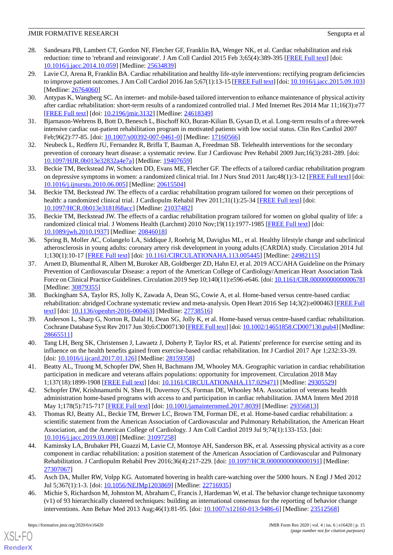- <span id="page-14-0"></span>28. Sandesara PB, Lambert CT, Gordon NF, Fletcher GF, Franklin BA, Wenger NK, et al. Cardiac rehabilitation and risk reduction: time to 'rebrand and reinvigorate'. J Am Coll Cardiol 2015 Feb 3;65(4):389-395 [\[FREE Full text](https://linkinghub.elsevier.com/retrieve/pii/S0735-1097(14)07047-8)] [doi: [10.1016/j.jacc.2014.10.059\]](http://dx.doi.org/10.1016/j.jacc.2014.10.059) [Medline: [25634839\]](http://www.ncbi.nlm.nih.gov/entrez/query.fcgi?cmd=Retrieve&db=PubMed&list_uids=25634839&dopt=Abstract)
- <span id="page-14-1"></span>29. Lavie CJ, Arena R, Franklin BA. Cardiac rehabilitation and healthy life-style interventions: rectifying program deficiencies to improve patient outcomes. J Am Coll Cardiol 2016 Jan 5;67(1):13-15 [[FREE Full text](https://linkinghub.elsevier.com/retrieve/pii/S0735-1097(15)07118-1)] [doi: [10.1016/j.jacc.2015.09.103](http://dx.doi.org/10.1016/j.jacc.2015.09.103)] [Medline: [26764060](http://www.ncbi.nlm.nih.gov/entrez/query.fcgi?cmd=Retrieve&db=PubMed&list_uids=26764060&dopt=Abstract)]
- <span id="page-14-2"></span>30. Antypas K, Wangberg SC. An internet- and mobile-based tailored intervention to enhance maintenance of physical activity after cardiac rehabilitation: short-term results of a randomized controlled trial. J Med Internet Res 2014 Mar 11;16(3):e77 [[FREE Full text](https://www.jmir.org/2014/3/e77/)] [doi: [10.2196/jmir.3132](http://dx.doi.org/10.2196/jmir.3132)] [Medline: [24618349](http://www.ncbi.nlm.nih.gov/entrez/query.fcgi?cmd=Retrieve&db=PubMed&list_uids=24618349&dopt=Abstract)]
- <span id="page-14-3"></span>31. Bjarnason-Wehrens B, Bott D, Benesch L, Bischoff KO, Buran-Kilian B, Gysan D, et al. Long-term results of a three-week intensive cardiac out-patient rehabilitation program in motivated patients with low social status. Clin Res Cardiol 2007 Feb;96(2):77-85. [doi: [10.1007/s00392-007-0461-0\]](http://dx.doi.org/10.1007/s00392-007-0461-0) [Medline: [17160566](http://www.ncbi.nlm.nih.gov/entrez/query.fcgi?cmd=Retrieve&db=PubMed&list_uids=17160566&dopt=Abstract)]
- <span id="page-14-4"></span>32. Neubeck L, Redfern JU, Fernandez R, Briffa T, Bauman A, Freedman SB. Telehealth interventions for the secondary prevention of coronary heart disease: a systematic review. Eur J Cardiovasc Prev Rehabil 2009 Jun;16(3):281-289. [doi: [10.1097/HJR.0b013e32832a4e7a\]](http://dx.doi.org/10.1097/HJR.0b013e32832a4e7a) [Medline: [19407659\]](http://www.ncbi.nlm.nih.gov/entrez/query.fcgi?cmd=Retrieve&db=PubMed&list_uids=19407659&dopt=Abstract)
- 33. Beckie TM, Beckstead JW, Schocken DD, Evans ME, Fletcher GF. The effects of a tailored cardiac rehabilitation program on depressive symptoms in women: a randomized clinical trial. Int J Nurs Stud 2011 Jan;48(1):3-12 [\[FREE Full text](http://europepmc.org/abstract/MED/20615504)] [doi: [10.1016/j.ijnurstu.2010.06.005](http://dx.doi.org/10.1016/j.ijnurstu.2010.06.005)] [Medline: [20615504\]](http://www.ncbi.nlm.nih.gov/entrez/query.fcgi?cmd=Retrieve&db=PubMed&list_uids=20615504&dopt=Abstract)
- <span id="page-14-5"></span>34. Beckie TM, Beckstead JW. The effects of a cardiac rehabilitation program tailored for women on their perceptions of health: a randomized clinical trial. J Cardiopulm Rehabil Prev 2011;31(1):25-34 [\[FREE Full text\]](http://europepmc.org/abstract/MED/21037482) [doi: [10.1097/HCR.0b013e3181f68acc\]](http://dx.doi.org/10.1097/HCR.0b013e3181f68acc) [Medline: [21037482\]](http://www.ncbi.nlm.nih.gov/entrez/query.fcgi?cmd=Retrieve&db=PubMed&list_uids=21037482&dopt=Abstract)
- <span id="page-14-6"></span>35. Beckie TM, Beckstead JW. The effects of a cardiac rehabilitation program tailored for women on global quality of life: a randomized clinical trial. J Womens Health (Larchmt) 2010 Nov;19(11):1977-1985 [\[FREE Full text](http://europepmc.org/abstract/MED/20846018)] [doi: [10.1089/jwh.2010.1937\]](http://dx.doi.org/10.1089/jwh.2010.1937) [Medline: [20846018\]](http://www.ncbi.nlm.nih.gov/entrez/query.fcgi?cmd=Retrieve&db=PubMed&list_uids=20846018&dopt=Abstract)
- <span id="page-14-7"></span>36. Spring B, Moller AC, Colangelo LA, Siddique J, Roehrig M, Daviglus ML, et al. Healthy lifestyle change and subclinical atherosclerosis in young adults: coronary artery risk development in young adults (CARDIA) study. Circulation 2014 Jul 1;130(1):10-17 [[FREE Full text](http://europepmc.org/abstract/MED/24982115)] [doi: [10.1161/CIRCULATIONAHA.113.005445\]](http://dx.doi.org/10.1161/CIRCULATIONAHA.113.005445) [Medline: [24982115\]](http://www.ncbi.nlm.nih.gov/entrez/query.fcgi?cmd=Retrieve&db=PubMed&list_uids=24982115&dopt=Abstract)
- <span id="page-14-8"></span>37. Arnett D, Blumenthal R, Albert M, Buroker AB, Goldberger ZD, Hahn EJ, et al. 2019 ACC/AHA Guideline on the Primary Prevention of Cardiovascular Disease: a report of the American College of Cardiology/American Heart Association Task Force on Clinical Practice Guidelines. Circulation 2019 Sep 10;140(11):e596-e646. [doi: [10.1161/CIR.0000000000000678\]](http://dx.doi.org/10.1161/CIR.0000000000000678) [Medline: [30879355](http://www.ncbi.nlm.nih.gov/entrez/query.fcgi?cmd=Retrieve&db=PubMed&list_uids=30879355&dopt=Abstract)]
- <span id="page-14-9"></span>38. Buckingham SA, Taylor RS, Jolly K, Zawada A, Dean SG, Cowie A, et al. Home-based versus centre-based cardiac rehabilitation: abridged Cochrane systematic review and meta-analysis. Open Heart 2016 Sep 14;3(2):e000463 [\[FREE Full](http://europepmc.org/abstract/MED/27738516) [text](http://europepmc.org/abstract/MED/27738516)] [doi: [10.1136/openhrt-2016-000463](http://dx.doi.org/10.1136/openhrt-2016-000463)] [Medline: [27738516\]](http://www.ncbi.nlm.nih.gov/entrez/query.fcgi?cmd=Retrieve&db=PubMed&list_uids=27738516&dopt=Abstract)
- <span id="page-14-10"></span>39. Anderson L, Sharp G, Norton R, Dalal H, Dean SG, Jolly K, et al. Home-based versus centre-based cardiac rehabilitation. Cochrane Database Syst Rev 2017 Jun 30;6:CD007130 [[FREE Full text\]](http://europepmc.org/abstract/MED/28665511) [doi: [10.1002/14651858.CD007130.pub4](http://dx.doi.org/10.1002/14651858.CD007130.pub4)] [Medline: [28665511](http://www.ncbi.nlm.nih.gov/entrez/query.fcgi?cmd=Retrieve&db=PubMed&list_uids=28665511&dopt=Abstract)]
- <span id="page-14-11"></span>40. Tang LH, Berg SK, Christensen J, Lawaetz J, Doherty P, Taylor RS, et al. Patients' preference for exercise setting and its influence on the health benefits gained from exercise-based cardiac rehabilitation. Int J Cardiol 2017 Apr 1;232:33-39. [doi: [10.1016/j.ijcard.2017.01.126\]](http://dx.doi.org/10.1016/j.ijcard.2017.01.126) [Medline: [28159358\]](http://www.ncbi.nlm.nih.gov/entrez/query.fcgi?cmd=Retrieve&db=PubMed&list_uids=28159358&dopt=Abstract)
- <span id="page-14-12"></span>41. Beatty AL, Truong M, Schopfer DW, Shen H, Bachmann JM, Whooley MA. Geographic variation in cardiac rehabilitation participation in medicare and veterans affairs populations: opportunity for improvement. Circulation 2018 May 1;137(18):1899-1908 [[FREE Full text](http://europepmc.org/abstract/MED/29305529)] [doi: [10.1161/CIRCULATIONAHA.117.029471\]](http://dx.doi.org/10.1161/CIRCULATIONAHA.117.029471) [Medline: [29305529\]](http://www.ncbi.nlm.nih.gov/entrez/query.fcgi?cmd=Retrieve&db=PubMed&list_uids=29305529&dopt=Abstract)
- <span id="page-14-13"></span>42. Schopfer DW, Krishnamurthi N, Shen H, Duvernoy CS, Forman DE, Whooley MA. Association of veterans health administration home-based programs with access to and participation in cardiac rehabilitation. JAMA Intern Med 2018 May 1;178(5):715-717 [[FREE Full text](http://europepmc.org/abstract/MED/29356813)] [doi: [10.1001/jamainternmed.2017.8039\]](http://dx.doi.org/10.1001/jamainternmed.2017.8039) [Medline: [29356813](http://www.ncbi.nlm.nih.gov/entrez/query.fcgi?cmd=Retrieve&db=PubMed&list_uids=29356813&dopt=Abstract)]
- <span id="page-14-14"></span>43. Thomas RJ, Beatty AL, Beckie TM, Brewer LC, Brown TM, Forman DE, et al. Home-based cardiac rehabilitation: a scientific statement from the American Association of Cardiovascular and Pulmonary Rehabilitation, the American Heart Association, and the American College of Cardiology. J Am Coll Cardiol 2019 Jul 9;74(1):133-153. [doi: [10.1016/j.jacc.2019.03.008\]](http://dx.doi.org/10.1016/j.jacc.2019.03.008) [Medline: [31097258\]](http://www.ncbi.nlm.nih.gov/entrez/query.fcgi?cmd=Retrieve&db=PubMed&list_uids=31097258&dopt=Abstract)
- <span id="page-14-15"></span>44. Kaminsky LA, Brubaker PH, Guazzi M, Lavie CJ, Montoye AH, Sanderson BK, et al. Assessing physical activity as a core component in cardiac rehabilitation: a position statement of the American Association of Cardiovascular and Pulmonary Rehabilitation. J Cardiopulm Rehabil Prev 2016;36(4):217-229. [doi: [10.1097/HCR.0000000000000191](http://dx.doi.org/10.1097/HCR.0000000000000191)] [Medline: [27307067](http://www.ncbi.nlm.nih.gov/entrez/query.fcgi?cmd=Retrieve&db=PubMed&list_uids=27307067&dopt=Abstract)]
- 45. Asch DA, Muller RW, Volpp KG. Automated hovering in health care-watching over the 5000 hours. N Engl J Med 2012 Jul 5;367(1):1-3. [doi: [10.1056/NEJMp1203869](http://dx.doi.org/10.1056/NEJMp1203869)] [Medline: [22716935\]](http://www.ncbi.nlm.nih.gov/entrez/query.fcgi?cmd=Retrieve&db=PubMed&list_uids=22716935&dopt=Abstract)
- 46. Michie S, Richardson M, Johnston M, Abraham C, Francis J, Hardeman W, et al. The behavior change technique taxonomy (v1) of 93 hierarchically clustered techniques: building an international consensus for the reporting of behavior change interventions. Ann Behav Med 2013 Aug;46(1):81-95. [doi: [10.1007/s12160-013-9486-6\]](http://dx.doi.org/10.1007/s12160-013-9486-6) [Medline: [23512568\]](http://www.ncbi.nlm.nih.gov/entrez/query.fcgi?cmd=Retrieve&db=PubMed&list_uids=23512568&dopt=Abstract)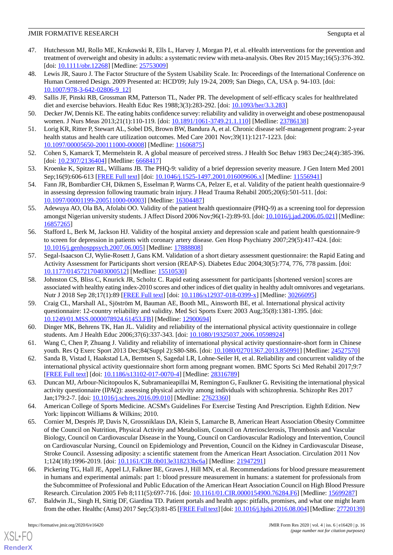- <span id="page-15-0"></span>47. Hutchesson MJ, Rollo ME, Krukowski R, Ells L, Harvey J, Morgan PJ, et al. eHealth interventions for the prevention and treatment of overweight and obesity in adults: a systematic review with meta-analysis. Obes Rev 2015 May;16(5):376-392. [doi: [10.1111/obr.12268\]](http://dx.doi.org/10.1111/obr.12268) [Medline: [25753009](http://www.ncbi.nlm.nih.gov/entrez/query.fcgi?cmd=Retrieve&db=PubMed&list_uids=25753009&dopt=Abstract)]
- <span id="page-15-1"></span>48. Lewis JR, Sauro J. The Factor Structure of the System Usability Scale. In: Proceedings of the International Conference on Human Centered Design. 2009 Presented at: HCD'09; July 19-24, 2009; San Diego, CA, USA p. 94-103. [doi: [10.1007/978-3-642-02806-9\\_12](http://dx.doi.org/10.1007/978-3-642-02806-9_12)]
- <span id="page-15-3"></span><span id="page-15-2"></span>49. Sallis JF, Pinski RB, Grossman RM, Patterson TL, Nader PR. The development of self-efficacy scales for healthrelated diet and exercise behaviors. Health Educ Res 1988;3(3):283-292. [doi: [10.1093/her/3.3.283](http://dx.doi.org/10.1093/her/3.3.283)]
- <span id="page-15-4"></span>50. Decker JW, Dennis KE. The eating habits confidence survey: reliability and validity in overweight and obese postmenopausal women. J Nurs Meas 2013;21(1):110-119. [doi: [10.1891/1061-3749.21.1.110](http://dx.doi.org/10.1891/1061-3749.21.1.110)] [Medline: [23786138](http://www.ncbi.nlm.nih.gov/entrez/query.fcgi?cmd=Retrieve&db=PubMed&list_uids=23786138&dopt=Abstract)]
- <span id="page-15-5"></span>51. Lorig KR, Ritter P, Stewart AL, Sobel DS, Brown BW, Bandura A, et al. Chronic disease self-management program: 2-year health status and health care utilization outcomes. Med Care 2001 Nov;39(11):1217-1223. [doi: [10.1097/00005650-200111000-00008](http://dx.doi.org/10.1097/00005650-200111000-00008)] [Medline: [11606875](http://www.ncbi.nlm.nih.gov/entrez/query.fcgi?cmd=Retrieve&db=PubMed&list_uids=11606875&dopt=Abstract)]
- <span id="page-15-6"></span>52. Cohen S, Kamarck T, Mermelstein R. A global measure of perceived stress. J Health Soc Behav 1983 Dec;24(4):385-396. [doi: [10.2307/2136404](http://dx.doi.org/10.2307/2136404)] [Medline: [6668417\]](http://www.ncbi.nlm.nih.gov/entrez/query.fcgi?cmd=Retrieve&db=PubMed&list_uids=6668417&dopt=Abstract)
- <span id="page-15-7"></span>53. Kroenke K, Spitzer RL, Williams JB. The PHQ-9: validity of a brief depression severity measure. J Gen Intern Med 2001 Sep;16(9):606-613 [[FREE Full text](https://onlinelibrary.wiley.com/resolve/openurl?genre=article&sid=nlm:pubmed&issn=0884-8734&date=2001&volume=16&issue=9&spage=606)] [doi: [10.1046/j.1525-1497.2001.016009606.x\]](http://dx.doi.org/10.1046/j.1525-1497.2001.016009606.x) [Medline: [11556941\]](http://www.ncbi.nlm.nih.gov/entrez/query.fcgi?cmd=Retrieve&db=PubMed&list_uids=11556941&dopt=Abstract)
- <span id="page-15-8"></span>54. Fann JR, Bombardier CH, Dikmen S, Esselman P, Warms CA, Pelzer E, et al. Validity of the patient health questionnaire-9 in assessing depression following traumatic brain injury. J Head Trauma Rehabil 2005;20(6):501-511. [doi: [10.1097/00001199-200511000-00003](http://dx.doi.org/10.1097/00001199-200511000-00003)] [Medline: [16304487](http://www.ncbi.nlm.nih.gov/entrez/query.fcgi?cmd=Retrieve&db=PubMed&list_uids=16304487&dopt=Abstract)]
- <span id="page-15-9"></span>55. Adewuya AO, Ola BA, Afolabi OO. Validity of the patient health questionnaire (PHQ-9) as a screening tool for depression amongst Nigerian university students. J Affect Disord 2006 Nov;96(1-2):89-93. [doi: [10.1016/j.jad.2006.05.021](http://dx.doi.org/10.1016/j.jad.2006.05.021)] [Medline: [16857265](http://www.ncbi.nlm.nih.gov/entrez/query.fcgi?cmd=Retrieve&db=PubMed&list_uids=16857265&dopt=Abstract)]
- <span id="page-15-10"></span>56. Stafford L, Berk M, Jackson HJ. Validity of the hospital anxiety and depression scale and patient health questionnaire-9 to screen for depression in patients with coronary artery disease. Gen Hosp Psychiatry 2007;29(5):417-424. [doi: [10.1016/j.genhosppsych.2007.06.005](http://dx.doi.org/10.1016/j.genhosppsych.2007.06.005)] [Medline: [17888808](http://www.ncbi.nlm.nih.gov/entrez/query.fcgi?cmd=Retrieve&db=PubMed&list_uids=17888808&dopt=Abstract)]
- <span id="page-15-11"></span>57. Segal-Isaacson CJ, Wylie-Rosett J, Gans KM. Validation of a short dietary assessment questionnaire: the Rapid Eating and Activity Assessment for Participants short version (REAP-S). Diabetes Educ 2004;30(5):774, 776, 778 passim. [doi: [10.1177/014572170403000512\]](http://dx.doi.org/10.1177/014572170403000512) [Medline: [15510530\]](http://www.ncbi.nlm.nih.gov/entrez/query.fcgi?cmd=Retrieve&db=PubMed&list_uids=15510530&dopt=Abstract)
- <span id="page-15-12"></span>58. Johnston CS, Bliss C, Knurick JR, Scholtz C. Rapid eating assessment for participants [shortened version] scores are associated with healthy eating index-2010 scores and other indices of diet quality in healthy adult omnivores and vegetarians. Nutr J 2018 Sep 28;17(1):89 [[FREE Full text](https://nutritionj.biomedcentral.com/articles/10.1186/s12937-018-0399-x)] [doi: [10.1186/s12937-018-0399-x\]](http://dx.doi.org/10.1186/s12937-018-0399-x) [Medline: [30266095](http://www.ncbi.nlm.nih.gov/entrez/query.fcgi?cmd=Retrieve&db=PubMed&list_uids=30266095&dopt=Abstract)]
- <span id="page-15-14"></span><span id="page-15-13"></span>59. Craig CL, Marshall AL, Sjöström M, Bauman AE, Booth ML, Ainsworth BE, et al. International physical activity questionnaire: 12-country reliability and validity. Med Sci Sports Exerc 2003 Aug;35(8):1381-1395. [doi: [10.1249/01.MSS.0000078924.61453.FB](http://dx.doi.org/10.1249/01.MSS.0000078924.61453.FB)] [Medline: [12900694\]](http://www.ncbi.nlm.nih.gov/entrez/query.fcgi?cmd=Retrieve&db=PubMed&list_uids=12900694&dopt=Abstract)
- <span id="page-15-15"></span>60. Dinger MK, Behrens TK, Han JL. Validity and reliability of the international physical activity questionnaire in college students. Am J Health Educ 2006;37(6):337-343. [doi: [10.1080/19325037.2006.10598924\]](http://dx.doi.org/10.1080/19325037.2006.10598924)
- <span id="page-15-16"></span>61. Wang C, Chen P, Zhuang J. Validity and reliability of international physical activity questionnaire-short form in Chinese youth. Res Q Exerc Sport 2013 Dec;84(Suppl 2):S80-S86. [doi: [10.1080/02701367.2013.850991](http://dx.doi.org/10.1080/02701367.2013.850991)] [Medline: [24527570\]](http://www.ncbi.nlm.nih.gov/entrez/query.fcgi?cmd=Retrieve&db=PubMed&list_uids=24527570&dopt=Abstract)
- <span id="page-15-17"></span>62. Sanda B, Vistad I, Haakstad LA, Berntsen S, Sagedal LR, Lohne-Seiler H, et al. Reliability and concurrent validity of the international physical activity questionnaire short form among pregnant women. BMC Sports Sci Med Rehabil 2017;9:7 [[FREE Full text](https://bmcsportsscimedrehabil.biomedcentral.com/articles/10.1186/s13102-017-0070-4)] [doi: [10.1186/s13102-017-0070-4\]](http://dx.doi.org/10.1186/s13102-017-0070-4) [Medline: [28316789](http://www.ncbi.nlm.nih.gov/entrez/query.fcgi?cmd=Retrieve&db=PubMed&list_uids=28316789&dopt=Abstract)]
- <span id="page-15-18"></span>63. Duncan MJ, Arbour-Nicitopoulos K, Subramanieapillai M, Remington G, Faulkner G. Revisiting the international physical activity questionnaire (IPAQ): assessing physical activity among individuals with schizophrenia. Schizophr Res 2017 Jan;179:2-7. [doi: [10.1016/j.schres.2016.09.010](http://dx.doi.org/10.1016/j.schres.2016.09.010)] [Medline: [27623360\]](http://www.ncbi.nlm.nih.gov/entrez/query.fcgi?cmd=Retrieve&db=PubMed&list_uids=27623360&dopt=Abstract)
- 64. American College of Sports Medicine. ACSM's Guidelines For Exercise Testing And Prescription. Eighth Edition. New York: lippincott Williams & Wilkins; 2010.
- <span id="page-15-19"></span>65. Cornier M, Després JP, Davis N, Grossniklaus DA, Klein S, Lamarche B, American Heart Association Obesity Committee of the Council on Nutrition, Physical Activity and Metabolism, Council on Arteriosclerosis, Thrombosis and Vascular Biology, Council on Cardiovascular Disease in the Young, Council on Cardiovascular Radiology and Intervention, Council on Cardiovascular Nursing, Council on Epidemiology and Prevention, Council on the Kidney in Cardiovascular Disease, Stroke Council. Assessing adiposity: a scientific statement from the American Heart Association. Circulation 2011 Nov 1;124(18):1996-2019. [doi: [10.1161/CIR.0b013e318233bc6a](http://dx.doi.org/10.1161/CIR.0b013e318233bc6a)] [Medline: [21947291](http://www.ncbi.nlm.nih.gov/entrez/query.fcgi?cmd=Retrieve&db=PubMed&list_uids=21947291&dopt=Abstract)]
- <span id="page-15-20"></span>66. Pickering TG, Hall JE, Appel LJ, Falkner BE, Graves J, Hill MN, et al. Recommendations for blood pressure measurement in humans and experimental animals: part 1: blood pressure measurement in humans: a statement for professionals from the Subcommittee of Professional and Public Education of the American Heart Association Council on High Blood Pressure Research. Circulation 2005 Feb 8;111(5):697-716. [doi: [10.1161/01.CIR.0000154900.76284.F6](http://dx.doi.org/10.1161/01.CIR.0000154900.76284.F6)] [Medline: [15699287\]](http://www.ncbi.nlm.nih.gov/entrez/query.fcgi?cmd=Retrieve&db=PubMed&list_uids=15699287&dopt=Abstract)
- 67. Baldwin JL, Singh H, Sittig DF, Giardina TD. Patient portals and health apps: pitfalls, promises, and what one might learn from the other. Healthc (Amst) 2017 Sep;5(3):81-85 [\[FREE Full text](https://linkinghub.elsevier.com/retrieve/pii/S2213-0764(16)30012-4)] [doi: [10.1016/j.hjdsi.2016.08.004\]](http://dx.doi.org/10.1016/j.hjdsi.2016.08.004) [Medline: [27720139\]](http://www.ncbi.nlm.nih.gov/entrez/query.fcgi?cmd=Retrieve&db=PubMed&list_uids=27720139&dopt=Abstract)

 $XS$  • FO **[RenderX](http://www.renderx.com/)**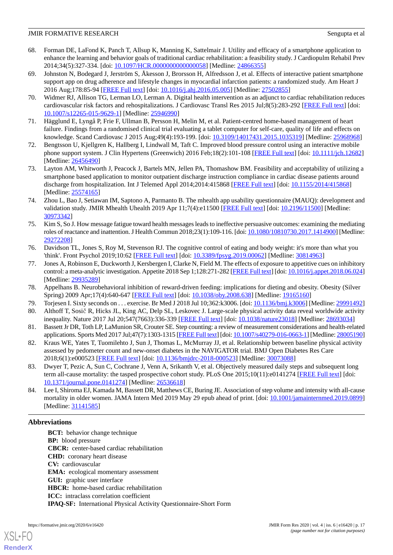- <span id="page-16-0"></span>68. Forman DE, LaFond K, Panch T, Allsup K, Manning K, Sattelmair J. Utility and efficacy of a smartphone application to enhance the learning and behavior goals of traditional cardiac rehabilitation: a feasibility study. J Cardiopulm Rehabil Prev 2014;34(5):327-334. [doi: [10.1097/HCR.0000000000000058\]](http://dx.doi.org/10.1097/HCR.0000000000000058) [Medline: [24866355\]](http://www.ncbi.nlm.nih.gov/entrez/query.fcgi?cmd=Retrieve&db=PubMed&list_uids=24866355&dopt=Abstract)
- <span id="page-16-2"></span>69. Johnston N, Bodegard J, Jerström S, Åkesson J, Brorsson H, Alfredsson J, et al. Effects of interactive patient smartphone support app on drug adherence and lifestyle changes in myocardial infarction patients: a randomized study. Am Heart J 2016 Aug;178:85-94 [[FREE Full text](https://linkinghub.elsevier.com/retrieve/pii/S0002-8703(16)30062-X)] [doi: [10.1016/j.ahj.2016.05.005\]](http://dx.doi.org/10.1016/j.ahj.2016.05.005) [Medline: [27502855\]](http://www.ncbi.nlm.nih.gov/entrez/query.fcgi?cmd=Retrieve&db=PubMed&list_uids=27502855&dopt=Abstract)
- <span id="page-16-3"></span>70. Widmer RJ, Allison TG, Lerman LO, Lerman A. Digital health intervention as an adjunct to cardiac rehabilitation reduces cardiovascular risk factors and rehospitalizations. J Cardiovasc Transl Res 2015 Jul;8(5):283-292 [[FREE Full text](http://europepmc.org/abstract/MED/25946990)] [doi: [10.1007/s12265-015-9629-1\]](http://dx.doi.org/10.1007/s12265-015-9629-1) [Medline: [25946990](http://www.ncbi.nlm.nih.gov/entrez/query.fcgi?cmd=Retrieve&db=PubMed&list_uids=25946990&dopt=Abstract)]
- <span id="page-16-4"></span><span id="page-16-1"></span>71. Hägglund E, Lyngå P, Frie F, Ullman B, Persson H, Melin M, et al. Patient-centred home-based management of heart failure. Findings from a randomised clinical trial evaluating a tablet computer for self-care, quality of life and effects on knowledge. Scand Cardiovasc J 2015 Aug;49(4):193-199. [doi: [10.3109/14017431.2015.1035319\]](http://dx.doi.org/10.3109/14017431.2015.1035319) [Medline: [25968968](http://www.ncbi.nlm.nih.gov/entrez/query.fcgi?cmd=Retrieve&db=PubMed&list_uids=25968968&dopt=Abstract)]
- <span id="page-16-5"></span>72. Bengtsson U, Kjellgren K, Hallberg I, Lindwall M, Taft C. Improved blood pressure control using an interactive mobile phone support system. J Clin Hypertens (Greenwich) 2016 Feb;18(2):101-108 [\[FREE Full text\]](https://doi.org/10.1111/jch.12682) [doi: [10.1111/jch.12682](http://dx.doi.org/10.1111/jch.12682)] [Medline: [26456490](http://www.ncbi.nlm.nih.gov/entrez/query.fcgi?cmd=Retrieve&db=PubMed&list_uids=26456490&dopt=Abstract)]
- <span id="page-16-6"></span>73. Layton AM, Whitworth J, Peacock J, Bartels MN, Jellen PA, Thomashow BM. Feasibility and acceptability of utilizing a smartphone based application to monitor outpatient discharge instruction compliance in cardiac disease patients around discharge from hospitalization. Int J Telemed Appl 2014;2014:415868 [[FREE Full text](https://dx.doi.org/10.1155/2014/415868)] [doi: [10.1155/2014/415868](http://dx.doi.org/10.1155/2014/415868)] [Medline: [25574165](http://www.ncbi.nlm.nih.gov/entrez/query.fcgi?cmd=Retrieve&db=PubMed&list_uids=25574165&dopt=Abstract)]
- <span id="page-16-7"></span>74. Zhou L, Bao J, Setiawan IM, Saptono A, Parmanto B. The mhealth app usability questionnaire (MAUQ): development and validation study. JMIR Mhealth Uhealth 2019 Apr 11;7(4):e11500 [\[FREE Full text](https://mhealth.jmir.org/2019/4/e11500/)] [doi: [10.2196/11500](http://dx.doi.org/10.2196/11500)] [Medline: [30973342](http://www.ncbi.nlm.nih.gov/entrez/query.fcgi?cmd=Retrieve&db=PubMed&list_uids=30973342&dopt=Abstract)]
- <span id="page-16-8"></span>75. Kim S, So J. How message fatigue toward health messages leads to ineffective persuasive outcomes: examining the mediating roles of reactance and inattention. J Health Commun 2018;23(1):109-116. [doi: [10.1080/10810730.2017.1414900\]](http://dx.doi.org/10.1080/10810730.2017.1414900) [Medline: [29272208](http://www.ncbi.nlm.nih.gov/entrez/query.fcgi?cmd=Retrieve&db=PubMed&list_uids=29272208&dopt=Abstract)]
- <span id="page-16-9"></span>76. Davidson TL, Jones S, Roy M, Stevenson RJ. The cognitive control of eating and body weight: it's more than what you 'think'. Front Psychol 2019;10:62 [\[FREE Full text\]](https://doi.org/10.3389/fpsyg.2019.00062) [doi: [10.3389/fpsyg.2019.00062](http://dx.doi.org/10.3389/fpsyg.2019.00062)] [Medline: [30814963](http://www.ncbi.nlm.nih.gov/entrez/query.fcgi?cmd=Retrieve&db=PubMed&list_uids=30814963&dopt=Abstract)]
- <span id="page-16-11"></span><span id="page-16-10"></span>77. Jones A, Robinson E, Duckworth J, Kersbergen I, Clarke N, Field M. The effects of exposure to appetitive cues on inhibitory control: a meta-analytic investigation. Appetite 2018 Sep 1;128:271-282 [[FREE Full text\]](https://linkinghub.elsevier.com/retrieve/pii/S0195-6663(18)30088-6) [doi: [10.1016/j.appet.2018.06.024\]](http://dx.doi.org/10.1016/j.appet.2018.06.024) [Medline: [29935289](http://www.ncbi.nlm.nih.gov/entrez/query.fcgi?cmd=Retrieve&db=PubMed&list_uids=29935289&dopt=Abstract)]
- <span id="page-16-13"></span><span id="page-16-12"></span>78. Appelhans B. Neurobehavioral inhibition of reward-driven feeding: implications for dieting and obesity. Obesity (Silver Spring) 2009 Apr;17(4):640-647 [\[FREE Full text\]](https://doi.org/10.1038/oby.2008.638) [doi: [10.1038/oby.2008.638\]](http://dx.doi.org/10.1038/oby.2008.638) [Medline: [19165160](http://www.ncbi.nlm.nih.gov/entrez/query.fcgi?cmd=Retrieve&db=PubMed&list_uids=19165160&dopt=Abstract)]
- 79. Torjesen I. Sixty seconds on . . . exercise. Br Med J 2018 Jul 10;362:k3006. [doi: [10.1136/bmj.k3006\]](http://dx.doi.org/10.1136/bmj.k3006) [Medline: [29991492](http://www.ncbi.nlm.nih.gov/entrez/query.fcgi?cmd=Retrieve&db=PubMed&list_uids=29991492&dopt=Abstract)]
- <span id="page-16-14"></span>80. Althoff T, Sosič R, Hicks JL, King AC, Delp SL, Leskovec J. Large-scale physical activity data reveal worldwide activity inequality. Nature 2017 Jul 20;547(7663):336-339 [[FREE Full text](http://europepmc.org/abstract/MED/28693034)] [doi: [10.1038/nature23018](http://dx.doi.org/10.1038/nature23018)] [Medline: [28693034](http://www.ncbi.nlm.nih.gov/entrez/query.fcgi?cmd=Retrieve&db=PubMed&list_uids=28693034&dopt=Abstract)]
- <span id="page-16-15"></span>81. Bassett Jr DR, Toth LP, LaMunion SR, Crouter SE. Step counting: a review of measurement considerations and health-related applications. Sports Med 2017 Jul;47(7):1303-1315 [[FREE Full text\]](http://europepmc.org/abstract/MED/28005190) [doi: [10.1007/s40279-016-0663-1](http://dx.doi.org/10.1007/s40279-016-0663-1)] [Medline: [28005190\]](http://www.ncbi.nlm.nih.gov/entrez/query.fcgi?cmd=Retrieve&db=PubMed&list_uids=28005190&dopt=Abstract)
- <span id="page-16-16"></span>82. Kraus WE, Yates T, Tuomilehto J, Sun J, Thomas L, McMurray JJ, et al. Relationship between baseline physical activity assessed by pedometer count and new-onset diabetes in the NAVIGATOR trial. BMJ Open Diabetes Res Care 2018;6(1):e000523 [\[FREE Full text](https://drc.bmj.com/cgi/pmidlookup?view=long&pmid=30073088)] [doi: [10.1136/bmjdrc-2018-000523\]](http://dx.doi.org/10.1136/bmjdrc-2018-000523) [Medline: [30073088\]](http://www.ncbi.nlm.nih.gov/entrez/query.fcgi?cmd=Retrieve&db=PubMed&list_uids=30073088&dopt=Abstract)
- 83. Dwyer T, Pezic A, Sun C, Cochrane J, Venn A, Srikanth V, et al. Objectively measured daily steps and subsequent long term all-cause mortality: the tasped prospective cohort study. PLoS One 2015;10(11):e0141274 [[FREE Full text](http://dx.plos.org/10.1371/journal.pone.0141274)] [doi: [10.1371/journal.pone.0141274\]](http://dx.doi.org/10.1371/journal.pone.0141274) [Medline: [26536618](http://www.ncbi.nlm.nih.gov/entrez/query.fcgi?cmd=Retrieve&db=PubMed&list_uids=26536618&dopt=Abstract)]
- 84. Lee I, Shiroma EJ, Kamada M, Bassett DR, Matthews CE, Buring JE. Association of step volume and intensity with all-cause mortality in older women. JAMA Intern Med 2019 May 29 epub ahead of print. [doi: [10.1001/jamainternmed.2019.0899](http://dx.doi.org/10.1001/jamainternmed.2019.0899)] [Medline: [31141585](http://www.ncbi.nlm.nih.gov/entrez/query.fcgi?cmd=Retrieve&db=PubMed&list_uids=31141585&dopt=Abstract)]

# **Abbreviations**

**BCT:** behavior change technique **BP:** blood pressure **CBCR:** center-based cardiac rehabilitation **CHD:** coronary heart disease **CV:** cardiovascular **EMA:** ecological momentary assessment **GUI:** graphic user interface **HBCR:** home-based cardiac rehabilitation **ICC:** intraclass correlation coefficient **IPAQ-SF:** International Physical Activity Questionnaire-Short Form